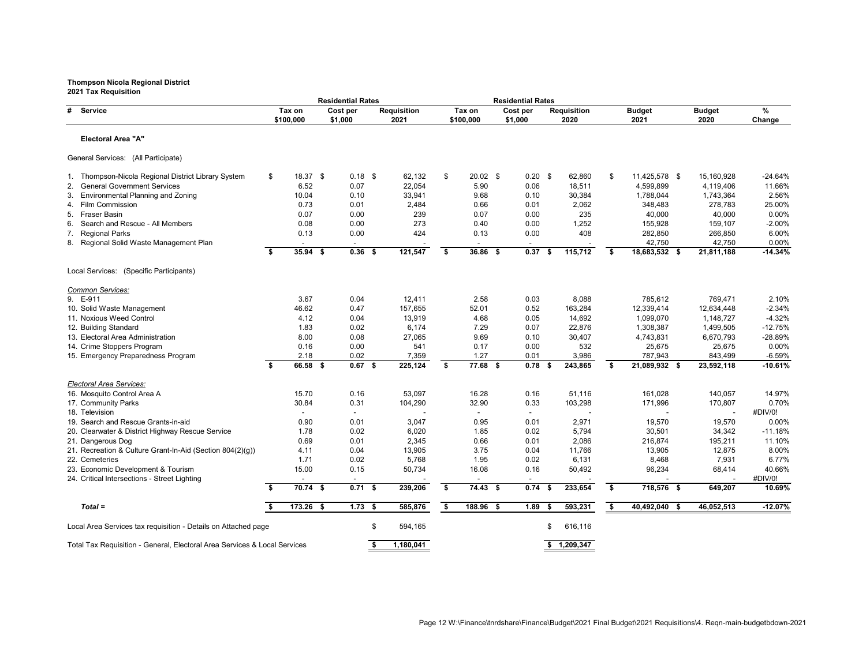|                                                                           |      |                          | <b>Residential Rates</b> |                            |    |                     | <b>Residential Rates</b> |           |                            |                   |                       |                       |                |
|---------------------------------------------------------------------------|------|--------------------------|--------------------------|----------------------------|----|---------------------|--------------------------|-----------|----------------------------|-------------------|-----------------------|-----------------------|----------------|
| # Service                                                                 |      | Tax on<br>\$100,000      | Cost per<br>\$1,000      | <b>Requisition</b><br>2021 |    | Tax on<br>\$100,000 | Cost per<br>\$1,000      |           | <b>Requisition</b><br>2020 |                   | <b>Budget</b><br>2021 | <b>Budget</b><br>2020 | $\%$<br>Change |
| <b>Electoral Area "A"</b>                                                 |      |                          |                          |                            |    |                     |                          |           |                            |                   |                       |                       |                |
| General Services: (All Participate)                                       |      |                          |                          |                            |    |                     |                          |           |                            |                   |                       |                       |                |
| 1. Thompson-Nicola Regional District Library System                       | \$   | 18.37 \$                 | $0.18$ \$                | 62,132                     | \$ | $20.02$ \$          |                          | $0.20$ \$ | 62,860                     | \$                | 11,425,578 \$         | 15,160,928            | $-24.64%$      |
| <b>General Government Services</b>                                        |      | 6.52                     | 0.07                     | 22,054                     |    | 5.90                | 0.06                     |           | 18,511                     |                   | 4,599,899             | 4,119,406             | 11.66%         |
| <b>Environmental Planning and Zoning</b><br>3.                            |      | 10.04                    | 0.10                     | 33,941                     |    | 9.68                | 0.10                     |           | 30,384                     |                   | 1,788,044             | 1,743,364             | 2.56%          |
| 4. Film Commission                                                        |      | 0.73                     | 0.01                     | 2,484                      |    | 0.66                | 0.01                     |           | 2,062                      |                   | 348,483               | 278,783               | 25.00%         |
| 5. Fraser Basin                                                           |      | 0.07                     | 0.00                     | 239                        |    | 0.07                | 0.00                     |           | 235                        |                   | 40,000                | 40,000                | 0.00%          |
| Search and Rescue - All Members<br>6.                                     |      | 0.08                     | 0.00                     | 273                        |    | 0.40                | 0.00                     |           | 1,252                      |                   | 155,928               | 159,107               | $-2.00\%$      |
| 7.<br><b>Regional Parks</b>                                               |      | 0.13                     | 0.00                     | 424                        |    | 0.13                | 0.00                     |           | 408                        |                   | 282,850               | 266,850               | 6.00%          |
| 8. Regional Solid Waste Management Plan                                   |      | $\sim$                   |                          |                            |    |                     |                          |           |                            |                   | 42,750                | 42,750                | 0.00%          |
|                                                                           | \$   | $35.94$ \$               | $0.36$ \$                | 121,547                    | \$ | 36.86 \$            | 0.37                     | -\$       | 115,712                    | S.                | 18,683,532 \$         | 21,811,188            | $-14.34%$      |
| Local Services: (Specific Participants)                                   |      |                          |                          |                            |    |                     |                          |           |                            |                   |                       |                       |                |
| Common Services:                                                          |      |                          |                          |                            |    |                     |                          |           |                            |                   |                       |                       |                |
| 9. E-911                                                                  |      | 3.67                     | 0.04                     | 12,411                     |    | 2.58                | 0.03                     |           | 8,088                      |                   | 785,612               | 769,471               | 2.10%          |
| 10. Solid Waste Management                                                |      | 46.62                    | 0.47                     | 157,655                    |    | 52.01               | 0.52                     |           | 163,284                    |                   | 12,339,414            | 12,634,448            | $-2.34%$       |
| 11. Noxious Weed Control                                                  |      | 4.12                     | 0.04                     | 13,919                     |    | 4.68                | 0.05                     |           | 14,692                     |                   | 1,099,070             | 1,148,727             | $-4.32%$       |
| 12. Building Standard                                                     |      | 1.83                     | 0.02                     | 6,174                      |    | 7.29                | 0.07                     |           | 22,876                     |                   | 1,308,387             | 1,499,505             | $-12.75%$      |
| 13. Electoral Area Administration                                         |      | 8.00                     | 0.08                     | 27,065                     |    | 9.69                | 0.10                     |           | 30,407                     |                   | 4,743,831             | 6,670,793             | $-28.89%$      |
| 14. Crime Stoppers Program                                                |      | 0.16                     | 0.00                     | 541                        |    | 0.17                | 0.00                     |           | 532                        |                   | 25,675                | 25,675                | 0.00%          |
| 15. Emergency Preparedness Program                                        |      | 2.18                     | 0.02                     | 7,359                      |    | 1.27                | 0.01                     |           | 3,986                      |                   | 787,943               | 843,499               | $-6.59%$       |
|                                                                           | \$   | 66.58 \$                 | $0.67$ \$                | 225,124                    | S. | 77.68 \$            | 0.78                     | - \$      | 243,865                    | S.                | 21,089,932 \$         | 23,592,118            | $-10.61%$      |
| <b>Electoral Area Services:</b>                                           |      |                          |                          |                            |    |                     |                          |           |                            |                   |                       |                       |                |
| 16. Mosquito Control Area A                                               |      | 15.70                    | 0.16                     | 53,097                     |    | 16.28               | 0.16                     |           | 51,116                     |                   | 161,028               | 140,057               | 14.97%         |
| 17. Community Parks                                                       |      | 30.84                    | 0.31                     | 104,290                    |    | 32.90               | 0.33                     |           | 103,298                    |                   | 171,996               | 170,807               | 0.70%          |
| 18. Television                                                            |      | $\overline{\phantom{a}}$ | $\overline{\phantom{a}}$ |                            |    |                     | $\sim$                   |           |                            |                   |                       |                       | #DIV/0!        |
| 19. Search and Rescue Grants-in-aid                                       |      | 0.90                     | 0.01                     | 3,047                      |    | 0.95                | 0.01                     |           | 2,971                      |                   | 19,570                | 19,570                | $0.00\%$       |
| 20. Clearwater & District Highway Rescue Service                          |      | 1.78                     | 0.02                     | 6,020                      |    | 1.85                | 0.02                     |           | 5,794                      |                   | 30,501                | 34,342                | $-11.18%$      |
| 21. Dangerous Dog                                                         |      | 0.69                     | 0.01                     | 2,345                      |    | 0.66                | 0.01                     |           | 2,086                      |                   | 216,874               | 195,211               | 11.10%         |
| 21. Recreation & Culture Grant-In-Aid (Section 804(2)(g))                 |      | 4.11                     | 0.04                     | 13,905                     |    | 3.75                | 0.04                     |           | 11,766                     |                   | 13,905                | 12,875                | 8.00%          |
| 22. Cemeteries                                                            |      | 1.71                     | 0.02                     | 5,768                      |    | 1.95                | 0.02                     |           | 6,131                      |                   | 8,468                 | 7,931                 | 6.77%          |
| 23. Economic Development & Tourism                                        |      | 15.00                    | 0.15                     | 50,734                     |    | 16.08               | 0.16                     |           | 50,492                     |                   | 96,234                | 68,414                | 40.66%         |
| 24. Critical Intersections - Street Lighting                              |      | $\sim$                   |                          |                            |    | $\sim$              |                          |           |                            |                   |                       |                       | #DIV/0!        |
|                                                                           | - \$ | 70.74 \$                 | $0.71$ \$                | 239,206                    | \$ | 74.43 \$            |                          | $0.74$ \$ | 233,654                    | $\boldsymbol{\$}$ | 718,576 \$            | 649,207               | 10.69%         |
| $Total =$                                                                 |      | 173.26 \$                | $1.73$ \$                | 585,876                    | -S | 188.96 \$           |                          | $1.89$ \$ | 593,231                    | \$                | 40,492,040 \$         | 46,052,513            | $-12.07\%$     |
| Local Area Services tax requisition - Details on Attached page            |      |                          |                          | 594,165                    |    |                     |                          |           | 616,116                    |                   |                       |                       |                |
| Total Tax Requisition - General, Electoral Area Services & Local Services |      |                          |                          | 1,180,041                  |    |                     |                          |           | \$1,209,347                |                   |                       |                       |                |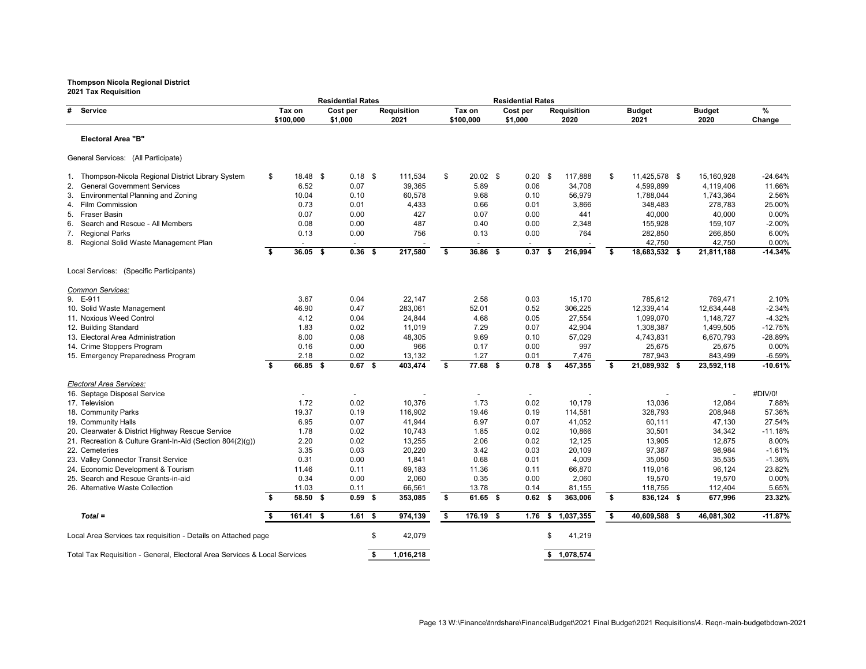|                                                                           |                         | <b>Residential Rates</b> |                    |    |                     |          | <b>Residential Rates</b> |                    |      |                       |                    |                 |
|---------------------------------------------------------------------------|-------------------------|--------------------------|--------------------|----|---------------------|----------|--------------------------|--------------------|------|-----------------------|--------------------|-----------------|
| # Service                                                                 | Tax on                  | Cost per                 | <b>Requisition</b> |    | Tax on              | Cost per |                          | <b>Requisition</b> |      | <b>Budget</b>         | <b>Budget</b>      | %               |
|                                                                           | \$100,000               | \$1,000                  | 2021               |    | \$100,000           | \$1,000  |                          | 2020               |      | 2021                  | 2020               | Change          |
| <b>Electoral Area "B"</b>                                                 |                         |                          |                    |    |                     |          |                          |                    |      |                       |                    |                 |
| General Services: (All Participate)                                       |                         |                          |                    |    |                     |          |                          |                    |      |                       |                    |                 |
| Thompson-Nicola Regional District Library System<br>1.                    | \$<br>$18.48$ \$        | $0.18$ \$                | 111,534            | \$ | $20.02$ \$          |          | $0.20$ \$                | 117,888            | \$   | 11,425,578 \$         | 15,160,928         | $-24.64%$       |
| <b>General Government Services</b><br>2.                                  | 6.52                    | 0.07                     | 39,365             |    | 5.89                |          | 0.06                     | 34,708             |      | 4,599,899             | 4,119,406          | 11.66%          |
| <b>Environmental Planning and Zoning</b><br>3.                            | 10.04                   | 0.10                     | 60,578             |    | 9.68                |          | 0.10                     | 56,979             |      | 1,788,044             | 1,743,364          | 2.56%           |
| <b>Film Commission</b><br>4.                                              | 0.73                    | 0.01                     | 4,433              |    | 0.66                |          | 0.01                     | 3,866              |      | 348,483               | 278,783            | 25.00%          |
| 5. Fraser Basin                                                           | 0.07                    | 0.00                     | 427                |    | 0.07                |          | 0.00                     | 441                |      | 40,000                | 40,000             | 0.00%           |
| Search and Rescue - All Members<br>6.                                     | 0.08                    | 0.00                     | 487                |    | 0.40                |          | 0.00                     | 2,348              |      | 155,928               | 159,107            | $-2.00%$        |
| <b>Regional Parks</b><br>7.                                               | 0.13                    | 0.00                     | 756                |    | 0.13                |          | 0.00                     | 764                |      | 282,850               | 266,850            | 6.00%           |
| 8. Regional Solid Waste Management Plan                                   |                         |                          |                    |    |                     |          |                          |                    |      | 42,750                | 42,750             | 0.00%           |
|                                                                           | \$<br>$36.05$ \$        | $0.36$ \$                | 217,580            | -S | 36.86 \$            |          | 0.37<br>- S              | 216,994            | S.   | 18,683,532 \$         | 21,811,188         | $-14.34%$       |
| Local Services: (Specific Participants)                                   |                         |                          |                    |    |                     |          |                          |                    |      |                       |                    |                 |
| Common Services:                                                          |                         |                          |                    |    |                     |          |                          |                    |      |                       |                    |                 |
| 9. E-911                                                                  | 3.67                    | 0.04                     | 22,147             |    | 2.58                |          | 0.03                     | 15,170             |      | 785,612               | 769,471            | 2.10%           |
| 10. Solid Waste Management                                                | 46.90                   | 0.47                     | 283,061            |    | 52.01               |          | 0.52                     | 306,225            |      | 12,339,414            | 12,634,448         | $-2.34%$        |
| 11. Noxious Weed Control                                                  | 4.12                    | 0.04                     | 24,844             |    | 4.68                |          | 0.05                     | 27,554             |      | 1,099,070             | 1,148,727          | $-4.32%$        |
| 12. Building Standard                                                     | 1.83                    | 0.02                     | 11,019             |    | 7.29                |          | 0.07                     | 42,904             |      | 1,308,387             | 1,499,505          | $-12.75%$       |
| 13. Electoral Area Administration                                         | 8.00                    | 0.08                     | 48,305             |    | 9.69                |          | 0.10                     | 57,029             |      | 4,743,831             | 6,670,793          | -28.89%         |
| 14. Crime Stoppers Program                                                | 0.16                    | 0.00                     | 966                |    | 0.17                |          | 0.00                     | 997                |      | 25,675                | 25,675             | 0.00%           |
| 15. Emergency Preparedness Program                                        | 2.18                    | 0.02                     | 13,132             |    | 1.27                |          | 0.01                     | 7,476              |      | 787,943               | 843,499            | $-6.59%$        |
|                                                                           | \$<br>66.85 \$          | $0.67$ \$                | 403,474            | \$ | 77.68 \$            |          | 0.78                     | 457,355            | -S   | 21,089,932 \$         | 23,592,118         | $-10.61%$       |
| <b>Electoral Area Services:</b>                                           |                         |                          |                    |    |                     |          |                          |                    |      |                       |                    |                 |
| 16. Septage Disposal Service                                              |                         |                          |                    |    |                     |          |                          |                    |      |                       |                    | #DIV/0!         |
| 17. Television                                                            | 1.72                    | 0.02                     | 10,376             |    | 1.73                |          | 0.02                     | 10,179             |      | 13,036                | 12,084             | 7.88%           |
| 18. Community Parks                                                       | 19.37                   | 0.19                     | 116,902            |    | 19.46               |          | 0.19                     | 114,581            |      | 328,793               | 208,948            | 57.36%          |
| 19. Community Halls                                                       | 6.95                    | 0.07                     | 41,944             |    | 6.97                |          | 0.07                     | 41,052             |      | 60,111                | 47,130             | 27.54%          |
| 20. Clearwater & District Highway Rescue Service                          | 1.78                    | 0.02                     | 10,743             |    | 1.85                |          | 0.02                     | 10,866             |      | 30,501                | 34,342             | $-11.18%$       |
| 21. Recreation & Culture Grant-In-Aid (Section 804(2)(g))                 | 2.20                    | 0.02                     | 13,255             |    | 2.06                |          | 0.02                     | 12,125             |      | 13,905                | 12,875             | 8.00%           |
| 22. Cemeteries                                                            | 3.35                    | 0.03                     | 20,220             |    | 3.42                |          | 0.03                     | 20,109             |      | 97,387                | 98,984             | $-1.61%$        |
| 23. Valley Connector Transit Service                                      | 0.31                    | 0.00                     | 1,841              |    | 0.68                |          | 0.01                     | 4,009              |      | 35,050                | 35,535             | $-1.36%$        |
| 24. Economic Development & Tourism                                        | 11.46                   | 0.11                     | 69,183             |    | 11.36               |          | 0.11                     | 66,870             |      | 119,016               | 96,124             | 23.82%          |
| 25. Search and Rescue Grants-in-aid                                       | 0.34                    | 0.00                     | 2,060              |    | 0.35                |          | 0.00                     | 2,060              |      | 19,570                | 19,570             | 0.00%           |
| 26. Alternative Waste Collection                                          | \$<br>11.03<br>58.50 \$ | 0.11<br>$0.59$ \$        | 66,561<br>353,085  | \$ | 13.78<br>$61.65$ \$ |          | 0.14<br>$0.62$ \$        | 81,155<br>363,006  | S.   | 118,755<br>836,124 \$ | 112,404<br>677,996 | 5.65%<br>23.32% |
|                                                                           |                         |                          |                    |    |                     |          |                          |                    |      |                       |                    |                 |
| $Total =$                                                                 | $161.41$ \$             | $1.61$ \$                | 974,139            | \$ | 176.19 \$           |          | $1.76$ \$                | 1,037,355          | - \$ | 40,609,588 \$         | 46,081,302         | $-11.87%$       |
| Local Area Services tax requisition - Details on Attached page            |                         |                          | 42,079<br>\$       |    |                     |          |                          | 41,219             |      |                       |                    |                 |
| Total Tax Requisition - General, Electoral Area Services & Local Services |                         |                          | 1,016,218<br>S.    |    |                     |          |                          | \$1,078,574        |      |                       |                    |                 |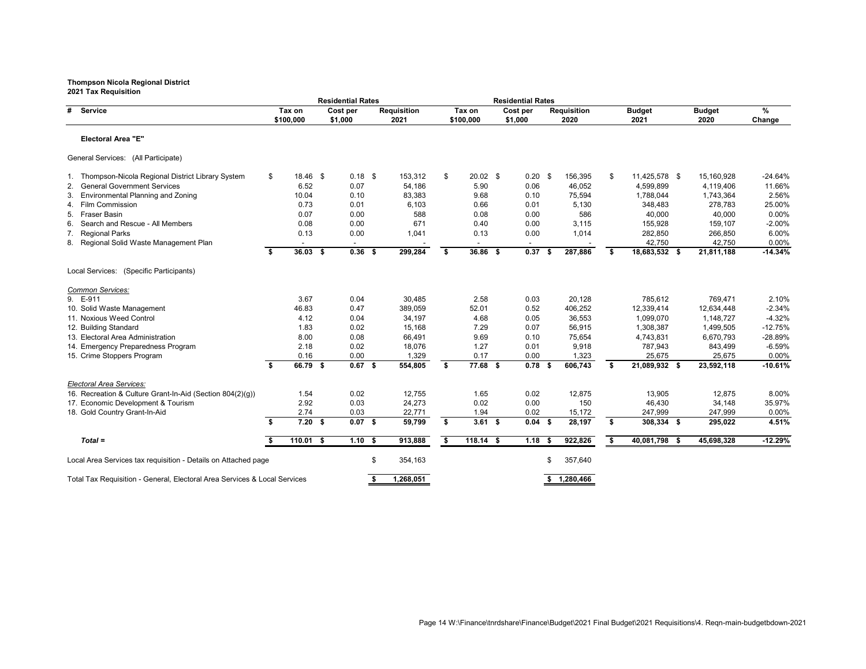|                                                                           |                     | <b>Residential Rates</b> |                            |                     | <b>Residential Rates</b> |     |                            |    |                       |                       |             |
|---------------------------------------------------------------------------|---------------------|--------------------------|----------------------------|---------------------|--------------------------|-----|----------------------------|----|-----------------------|-----------------------|-------------|
| <b>Service</b><br>#                                                       | Tax on<br>\$100,000 | Cost per<br>\$1,000      | <b>Requisition</b><br>2021 | Tax on<br>\$100,000 | Cost per<br>\$1,000      |     | <b>Requisition</b><br>2020 |    | <b>Budget</b><br>2021 | <b>Budget</b><br>2020 | %<br>Change |
| <b>Electoral Area "E"</b>                                                 |                     |                          |                            |                     |                          |     |                            |    |                       |                       |             |
| General Services: (All Participate)                                       |                     |                          |                            |                     |                          |     |                            |    |                       |                       |             |
| Thompson-Nicola Regional District Library System                          | \$<br>18.46 \$      | $0.18$ \$                | 153,312                    | \$<br>$20.02$ \$    | $0.20$ \$                |     | 156,395                    | \$ | 11,425,578 \$         | 15,160,928            | $-24.64%$   |
| <b>General Government Services</b>                                        | 6.52                | 0.07                     | 54,186                     | 5.90                | 0.06                     |     | 46,052                     |    | 4,599,899             | 4,119,406             | 11.66%      |
| <b>Environmental Planning and Zoning</b><br>3.                            | 10.04               | 0.10                     | 83,383                     | 9.68                | 0.10                     |     | 75,594                     |    | 1,788,044             | 1,743,364             | 2.56%       |
| 4. Film Commission                                                        | 0.73                | 0.01                     | 6,103                      | 0.66                | 0.01                     |     | 5,130                      |    | 348,483               | 278,783               | 25.00%      |
| 5. Fraser Basin                                                           | 0.07                | 0.00                     | 588                        | 0.08                | 0.00                     |     | 586                        |    | 40,000                | 40,000                | 0.00%       |
| Search and Rescue - All Members<br>6.                                     | 0.08                | 0.00                     | 671                        | 0.40                | 0.00                     |     | 3,115                      |    | 155,928               | 159,107               | $-2.00%$    |
| <b>Regional Parks</b><br>7.                                               | 0.13                | 0.00                     | 1,041                      | 0.13                | 0.00                     |     | 1,014                      |    | 282,850               | 266,850               | 6.00%       |
| 8. Regional Solid Waste Management Plan                                   |                     |                          |                            |                     |                          |     |                            |    | 42,750                | 42,750                | 0.00%       |
|                                                                           | \$<br>$36.03$ \$    | $0.36$ \$                | 299,284                    | \$<br>36.86 \$      | 0.37                     | - 5 | 287,886                    | S. | 18,683,532 \$         | 21,811,188            | $-14.34%$   |
| Local Services: (Specific Participants)                                   |                     |                          |                            |                     |                          |     |                            |    |                       |                       |             |
| Common Services:                                                          |                     |                          |                            |                     |                          |     |                            |    |                       |                       |             |
| 9. E-911                                                                  | 3.67                | 0.04                     | 30,485                     | 2.58                | 0.03                     |     | 20,128                     |    | 785,612               | 769,471               | 2.10%       |
| 10. Solid Waste Management                                                | 46.83               | 0.47                     | 389,059                    | 52.01               | 0.52                     |     | 406,252                    |    | 12,339,414            | 12,634,448            | $-2.34%$    |
| 11. Noxious Weed Control                                                  | 4.12                | 0.04                     | 34,197                     | 4.68                | 0.05                     |     | 36,553                     |    | 1,099,070             | 1,148,727             | $-4.32%$    |
| 12. Building Standard                                                     | 1.83                | 0.02                     | 15,168                     | 7.29                | 0.07                     |     | 56,915                     |    | 1,308,387             | 1,499,505             | $-12.75%$   |
| 13. Electoral Area Administration                                         | 8.00                | 0.08                     | 66,491                     | 9.69                | 0.10                     |     | 75,654                     |    | 4,743,831             | 6,670,793             | -28.89%     |
| 14. Emergency Preparedness Program                                        | 2.18                | 0.02                     | 18,076                     | 1.27                | 0.01                     |     | 9,918                      |    | 787,943               | 843,499               | $-6.59%$    |
| 15. Crime Stoppers Program                                                | 0.16                | 0.00                     | 1,329                      | 0.17                | 0.00                     |     | 1,323                      |    | 25,675                | 25,675                | 0.00%       |
|                                                                           | \$<br>66.79 \$      | $0.67$ \$                | 554,805                    | \$<br>77.68 \$      | $0.78$ \$                |     | 606,743                    | S. | 21,089,932 \$         | 23,592,118            | $-10.61%$   |
| <b>Electoral Area Services:</b>                                           |                     |                          |                            |                     |                          |     |                            |    |                       |                       |             |
| 16. Recreation & Culture Grant-In-Aid (Section 804(2)(g))                 | 1.54                | 0.02                     | 12,755                     | 1.65                | 0.02                     |     | 12,875                     |    | 13,905                | 12,875                | 8.00%       |
| 17. Economic Development & Tourism                                        | 2.92                | 0.03                     | 24,273                     | 0.02                | 0.00                     |     | 150                        |    | 46,430                | 34,148                | 35.97%      |
| 18. Gold Country Grant-In-Aid                                             | 2.74                | 0.03                     | 22,771                     | 1.94                | 0.02                     |     | 15,172                     |    | 247,999               | 247,999               | 0.00%       |
|                                                                           | \$<br>$7.20$ \$     | $0.07$ \$                | 59,799                     | \$<br>$3.61$ \$     | $0.04$ \$                |     | 28,197                     | \$ | 308,334 \$            | 295,022               | 4.51%       |
| $Total =$                                                                 | $110.01$ \$         | $1.10$ \$                | 913,888                    | \$<br>$118.14$ \$   | $1.18$ \$                |     | 922,826                    | \$ | $40,081,798$ \$       | 45,698,328            | $-12.29%$   |
| Local Area Services tax requisition - Details on Attached page            |                     |                          | \$<br>354,163              |                     |                          | \$  | 357,640                    |    |                       |                       |             |
|                                                                           |                     |                          |                            |                     |                          |     |                            |    |                       |                       |             |
| Total Tax Requisition - General, Electoral Area Services & Local Services |                     |                          | 1,268,051                  |                     |                          |     | \$1,280,466                |    |                       |                       |             |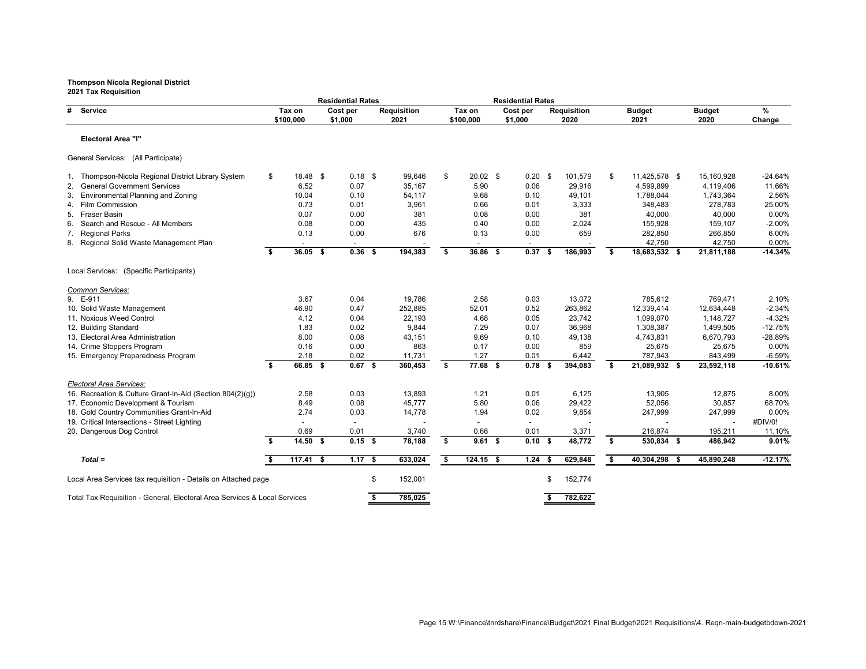|                                                                           |    |                     | <b>Residential Rates</b> |                            |                     | <b>Residential Rates</b> |     |                            |    |                       |                       |             |
|---------------------------------------------------------------------------|----|---------------------|--------------------------|----------------------------|---------------------|--------------------------|-----|----------------------------|----|-----------------------|-----------------------|-------------|
| # Service                                                                 |    | Tax on<br>\$100,000 | Cost per<br>\$1,000      | <b>Requisition</b><br>2021 | Tax on<br>\$100,000 | Cost per<br>\$1,000      |     | <b>Requisition</b><br>2020 |    | <b>Budget</b><br>2021 | <b>Budget</b><br>2020 | %<br>Change |
| <b>Electoral Area "I"</b>                                                 |    |                     |                          |                            |                     |                          |     |                            |    |                       |                       |             |
| General Services: (All Participate)                                       |    |                     |                          |                            |                     |                          |     |                            |    |                       |                       |             |
| 1. Thompson-Nicola Regional District Library System                       | \$ | $18.48$ \$          | $0.18$ \$                | 99,646                     | \$<br>$20.02$ \$    | $0.20$ \$                |     | 101,579                    | \$ | 11,425,578 \$         | 15,160,928            | -24.64%     |
| <b>General Government Services</b><br>2.                                  |    | 6.52                | 0.07                     | 35,167                     | 5.90                | 0.06                     |     | 29,916                     |    | 4,599,899             | 4,119,406             | 11.66%      |
| <b>Environmental Planning and Zoning</b>                                  |    | 10.04               | 0.10                     | 54,117                     | 9.68                | 0.10                     |     | 49,101                     |    | 1,788,044             | 1,743,364             | 2.56%       |
| 4. Film Commission                                                        |    | 0.73                | 0.01                     | 3,961                      | 0.66                | 0.01                     |     | 3,333                      |    | 348,483               | 278,783               | 25.00%      |
| 5. Fraser Basin                                                           |    | 0.07                | 0.00                     | 381                        | 0.08                | 0.00                     |     | 381                        |    | 40,000                | 40,000                | 0.00%       |
| Search and Rescue - All Members<br>6.                                     |    | 0.08                | 0.00                     | 435                        | 0.40                | 0.00                     |     | 2,024                      |    | 155,928               | 159,107               | $-2.00%$    |
| 7. Regional Parks                                                         |    | 0.13                | 0.00                     | 676                        | 0.13                | 0.00                     |     | 659                        |    | 282,850               | 266,850               | 6.00%       |
| 8. Regional Solid Waste Management Plan                                   |    |                     |                          |                            |                     |                          |     |                            |    | 42,750                | 42,750                | 0.00%       |
|                                                                           | S. | $36.05$ \$          | $0.36$ \$                | 194,383                    | \$<br>36.86 \$      | 0.37                     | -S  | 186,993                    | -S | 18,683,532 \$         | 21,811,188            | $-14.34%$   |
| Local Services: (Specific Participants)                                   |    |                     |                          |                            |                     |                          |     |                            |    |                       |                       |             |
| Common Services:                                                          |    |                     |                          |                            |                     |                          |     |                            |    |                       |                       |             |
| 9. E-911                                                                  |    | 3.67                | 0.04                     | 19,786                     | 2.58                | 0.03                     |     | 13,072                     |    | 785,612               | 769,471               | 2.10%       |
| 10. Solid Waste Management                                                |    | 46.90               | 0.47                     | 252,885                    | 52.01               | 0.52                     |     | 263,862                    |    | 12,339,414            | 12,634,448            | $-2.34%$    |
| 11. Noxious Weed Control                                                  |    | 4.12                | 0.04                     | 22,193                     | 4.68                | 0.05                     |     | 23,742                     |    | 1,099,070             | 1,148,727             | $-4.32%$    |
| 12. Building Standard                                                     |    | 1.83                | 0.02                     | 9,844                      | 7.29                | 0.07                     |     | 36,968                     |    | 1,308,387             | 1,499,505             | $-12.75%$   |
| 13. Electoral Area Administration                                         |    | 8.00                | 0.08                     | 43,151                     | 9.69                | 0.10                     |     | 49,138                     |    | 4,743,831             | 6,670,793             | -28.89%     |
| 14. Crime Stoppers Program                                                |    | 0.16                | 0.00                     | 863                        | 0.17                | 0.00                     |     | 859                        |    | 25,675                | 25,675                | 0.00%       |
| 15. Emergency Preparedness Program                                        |    | 2.18                | 0.02                     | 11,731                     | 1.27                | 0.01                     |     | 6,442                      |    | 787,943               | 843,499               | $-6.59%$    |
|                                                                           | \$ | 66.85 \$            | $\overline{0.67}$ \$     | 360,453                    | \$<br>77.68 \$      | 0.78                     | - 5 | 394,083                    | -S | 21,089,932 \$         | 23,592,118            | $-10.61%$   |
| Electoral Area Services:                                                  |    |                     |                          |                            |                     |                          |     |                            |    |                       |                       |             |
| 16. Recreation & Culture Grant-In-Aid (Section 804(2)(g))                 |    | 2.58                | 0.03                     | 13,893                     | 1.21                | 0.01                     |     | 6,125                      |    | 13,905                | 12,875                | 8.00%       |
| 17. Economic Development & Tourism                                        |    | 8.49                | 0.08                     | 45,777                     | 5.80                | 0.06                     |     | 29,422                     |    | 52,056                | 30,857                | 68.70%      |
| 18. Gold Country Communities Grant-In-Aid                                 |    | 2.74                | 0.03                     | 14,778                     | 1.94                | 0.02                     |     | 9,854                      |    | 247,999               | 247,999               | 0.00%       |
| 19. Critical Intersections - Street Lighting                              |    |                     |                          |                            |                     |                          |     |                            |    |                       |                       | #DIV/0!     |
| 20. Dangerous Dog Control                                                 |    | 0.69                | 0.01                     | 3,740                      | 0.66                | 0.01                     |     | 3,371                      |    | 216,874               | 195,211               | 11.10%      |
|                                                                           | \$ | $14.50$ \$          | $0.15$ \$                | 78,188                     | \$<br>$9.61$ \$     | $0.10$ \$                |     | 48,772                     | \$ | 530,834 \$            | 486,942               | 9.01%       |
| $Total =$                                                                 | \$ | $117.41$ \$         | $1.17$ \$                | 633,024                    | \$<br>$124.15$ \$   | $1.24$ \$                |     | 629,848                    | \$ | 40,304,298 \$         | 45,890,248            | $-12.17%$   |
| Local Area Services tax requisition - Details on Attached page            |    |                     |                          | \$<br>152,001              |                     |                          | S   | 152,774                    |    |                       |                       |             |
|                                                                           |    |                     |                          |                            |                     |                          |     |                            |    |                       |                       |             |
| Total Tax Requisition - General, Electoral Area Services & Local Services |    |                     |                          | 785,025                    |                     |                          |     | 782,622                    |    |                       |                       |             |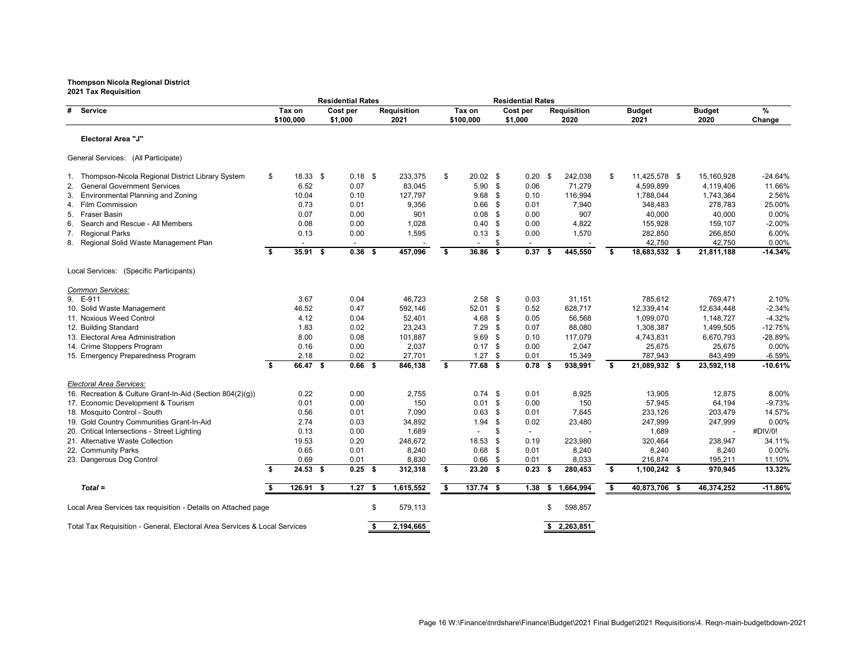| בטבו ומג ו⁄סעµו אווער                                                     |    |                     | <b>Residential Rates</b> |   |                            |                     |               | <b>Residential Rates</b> |     |                            |    |                       |                       |             |
|---------------------------------------------------------------------------|----|---------------------|--------------------------|---|----------------------------|---------------------|---------------|--------------------------|-----|----------------------------|----|-----------------------|-----------------------|-------------|
| # Service                                                                 |    | Tax on<br>\$100,000 | Cost per<br>\$1,000      |   | <b>Requisition</b><br>2021 | Tax on<br>\$100,000 |               | Cost per<br>\$1,000      |     | <b>Requisition</b><br>2020 |    | <b>Budget</b><br>2021 | <b>Budget</b><br>2020 | %<br>Change |
| <b>Electoral Area "J"</b>                                                 |    |                     |                          |   |                            |                     |               |                          |     |                            |    |                       |                       |             |
| General Services: (All Participate)                                       |    |                     |                          |   |                            |                     |               |                          |     |                            |    |                       |                       |             |
| 1. Thompson-Nicola Regional District Library System                       | \$ | $18.33$ \$          | $0.18$ \$                |   | 233,375                    | \$<br>$20.02$ \$    |               | $0.20$ \$                |     | 242,038                    | \$ | 11,425,578 \$         | 15,160,928            | $-24.64%$   |
| 2. General Government Services                                            |    | 6.52                | 0.07                     |   | 83,045                     | $5.90$ \$           |               | 0.06                     |     | 71,279                     |    | 4,599,899             | 4,119,406             | 11.66%      |
| <b>Environmental Planning and Zoning</b><br>3.                            |    | 10.04               | 0.10                     |   | 127,797                    | 9.68                | - \$          | 0.10                     |     | 116,994                    |    | 1,788,044             | 1,743,364             | 2.56%       |
| 4. Film Commission                                                        |    | 0.73                | 0.01                     |   | 9,356                      | 0.66                | - \$          | 0.01                     |     | 7,940                      |    | 348,483               | 278,783               | 25.00%      |
| 5.<br>Fraser Basin                                                        |    | 0.07                | 0.00                     |   | 901                        | 0.08                | - \$          | 0.00                     |     | 907                        |    | 40,000                | 40,000                | 0.00%       |
| Search and Rescue - All Members<br>6.                                     |    | 0.08                | 0.00                     |   | 1,028                      | 0.40                | - \$          | 0.00                     |     | 4,822                      |    | 155,928               | 159,107               | $-2.00%$    |
| Regional Parks<br>7.                                                      |    | 0.13                | 0.00                     |   | 1,595                      | 0.13                | -\$           | 0.00                     |     | 1,570                      |    | 282,850               | 266,850               | 6.00%       |
| 8. Regional Solid Waste Management Plan                                   |    |                     |                          |   |                            |                     | \$            |                          |     |                            |    | 42,750                | 42,750                | 0.00%       |
|                                                                           | S. | $35.91$ \$          | $0.36$ \$                |   | 457,096                    | \$<br>36.86 \$      |               | 0.37                     | - S | 445,550                    | S. | 18,683,532 \$         | 21,811,188            | $-14.34%$   |
| Local Services: (Specific Participants)                                   |    |                     |                          |   |                            |                     |               |                          |     |                            |    |                       |                       |             |
| Common Services:                                                          |    |                     |                          |   |                            |                     |               |                          |     |                            |    |                       |                       |             |
| 9. E-911                                                                  |    | 3.67                | 0.04                     |   | 46,723                     | $2.58$ \$           |               | 0.03                     |     | 31,151                     |    | 785,612               | 769,471               | 2.10%       |
| 10. Solid Waste Management                                                |    | 46.52               | 0.47                     |   | 592,146                    | $52.01$ \$          |               | 0.52                     |     | 628,717                    |    | 12,339,414            | 12,634,448            | $-2.34%$    |
| 11. Noxious Weed Control                                                  |    | 4.12                | 0.04                     |   | 52,401                     | 4.68                | -\$           | 0.05                     |     | 56,568                     |    | 1,099,070             | 1,148,727             | $-4.32%$    |
| 12. Building Standard                                                     |    | 1.83                | 0.02                     |   | 23,243                     | 7.29                | - \$          | 0.07                     |     | 88,080                     |    | 1,308,387             | 1,499,505             | $-12.75%$   |
| 13. Electoral Area Administration                                         |    | 8.00                | 0.08                     |   | 101,887                    | 9.69                | - \$          | 0.10                     |     | 117,079                    |    | 4,743,831             | 6,670,793             | -28.89%     |
| 14. Crime Stoppers Program                                                |    | 0.16                | 0.00                     |   | 2,037                      | 0.17                | \$            | 0.00                     |     | 2,047                      |    | 25,675                | 25,675                | 0.00%       |
| 15. Emergency Preparedness Program                                        |    | 2.18                | 0.02                     |   | 27,701                     | 1.27                | \$            | 0.01                     |     | 15,349                     |    | 787,943               | 843,499               | $-6.59%$    |
|                                                                           | S. | 66.47 \$            | $0.66$ \$                |   | 846,138                    | \$<br>77.68 \$      |               | $0.78$ \$                |     | 938,991                    | S. | 21,089,932 \$         | 23,592,118            | $-10.61%$   |
| Electoral Area Services:                                                  |    |                     |                          |   |                            |                     |               |                          |     |                            |    |                       |                       |             |
| 16. Recreation & Culture Grant-In-Aid (Section 804(2)(g))                 |    | 0.22                | 0.00                     |   | 2,755                      | $0.74$ \$           |               | 0.01                     |     | 8,925                      |    | 13,905                | 12,875                | 8.00%       |
| 17. Economic Development & Tourism                                        |    | 0.01                | 0.00                     |   | 150                        | 0.01                | $^{\circ}$    | 0.00                     |     | 150                        |    | 57,945                | 64,194                | $-9.73%$    |
| 18. Mosquito Control - South                                              |    | 0.56                | 0.01                     |   | 7,090                      | 0.63                | - \$          | 0.01                     |     | 7,645                      |    | 233,126               | 203,479               | 14.57%      |
| 19. Gold Country Communities Grant-In-Aid                                 |    | 2.74                | 0.03                     |   | 34,892                     | 1.94                | $\sqrt[6]{3}$ | 0.02                     |     | 23,480                     |    | 247,999               | 247,999               | $0.00\%$    |
| 20. Critical Intersections - Street Lighting                              |    | 0.13                | 0.00                     |   | 1,689                      |                     | S             |                          |     |                            |    | 1,689                 |                       | #DIV/0!     |
| 21. Alternative Waste Collection                                          |    | 19.53               | 0.20                     |   | 248,672                    | 18.53               | \$            | 0.19                     |     | 223,980                    |    | 320,464               | 238,947               | 34.11%      |
| 22. Community Parks                                                       |    | 0.65                | 0.01                     |   | 8,240                      | $0.68$ \$           |               | 0.01                     |     | 8,240                      |    | 8,240                 | 8,240                 | 0.00%       |
| 23. Dangerous Dog Control                                                 |    | 0.69                | 0.01                     |   | 8,830                      | $0.66$ \$           |               | 0.01                     |     | 8,033                      |    | 216,874               | 195,211               | 11.10%      |
|                                                                           | S. | $24.53$ \$          | $0.25$ \$                |   | 312,318                    | \$<br>$23.20$ \$    |               | $0.23$ \$                |     | 280,453                    | \$ | $1,100,242$ \$        | 970,945               | 13.32%      |
| $Total =$                                                                 |    | 126.91 \$           | $1.27$ \$                |   | 1,615,552                  | \$<br>$137.74$ \$   |               | $1.38$ \$                |     | 1,664,994                  | \$ | 40,873,706 \$         | 46,374,252            | $-11.86%$   |
| Local Area Services tax requisition - Details on Attached page            |    |                     |                          | S | 579,113                    |                     |               |                          |     | 598,857                    |    |                       |                       |             |
| Total Tax Requisition - General, Electoral Area Services & Local Services |    |                     |                          |   | 2,194,665                  |                     |               |                          |     | \$2,263,851                |    |                       |                       |             |
|                                                                           |    |                     |                          |   |                            |                     |               |                          |     |                            |    |                       |                       |             |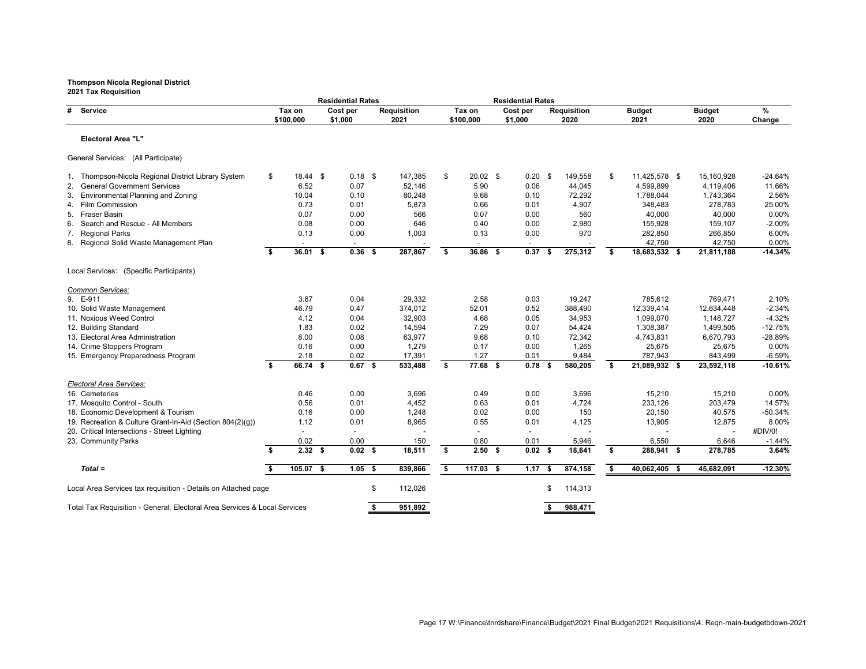| בטבו ומג ולכקטוטווטוו                                                     |    |                     | <b>Residential Rates</b> |                            |      |                          | <b>Residential Rates</b> |    |                            |    |                       |                       |             |
|---------------------------------------------------------------------------|----|---------------------|--------------------------|----------------------------|------|--------------------------|--------------------------|----|----------------------------|----|-----------------------|-----------------------|-------------|
| # Service                                                                 |    | Tax on<br>\$100,000 | Cost per<br>\$1,000      | <b>Requisition</b><br>2021 |      | Tax on<br>\$100,000      | Cost per<br>\$1,000      |    | <b>Requisition</b><br>2020 |    | <b>Budget</b><br>2021 | <b>Budget</b><br>2020 | %<br>Change |
| Electoral Area "L"                                                        |    |                     |                          |                            |      |                          |                          |    |                            |    |                       |                       |             |
| General Services: (All Participate)                                       |    |                     |                          |                            |      |                          |                          |    |                            |    |                       |                       |             |
| 1. Thompson-Nicola Regional District Library System                       | \$ | $18.44$ \$          | $0.18$ \$                | 147,385                    | \$   | $20.02$ \$               | $0.20$ \$                |    | 149,558                    | \$ | 11,425,578 \$         | 15,160,928            | $-24.64%$   |
| 2. General Government Services                                            |    | 6.52                | 0.07                     | 52,146                     |      | 5.90                     | 0.06                     |    | 44,045                     |    | 4,599,899             | 4,119,406             | 11.66%      |
| <b>Environmental Planning and Zoning</b><br>3.                            |    | 10.04               | 0.10                     | 80,248                     |      | 9.68                     | 0.10                     |    | 72,292                     |    | 1,788,044             | 1,743,364             | 2.56%       |
| 4. Film Commission                                                        |    | 0.73                | 0.01                     | 5,873                      |      | 0.66                     | 0.01                     |    | 4,907                      |    | 348,483               | 278,783               | 25.00%      |
| <b>Fraser Basin</b><br>5.                                                 |    | 0.07                | 0.00                     | 566                        |      | 0.07                     | 0.00                     |    | 560                        |    | 40,000                | 40,000                | 0.00%       |
| Search and Rescue - All Members<br>6.                                     |    | 0.08                | 0.00                     | 646                        |      | 0.40                     | 0.00                     |    | 2,980                      |    | 155,928               | 159,107               | $-2.00%$    |
| <b>Regional Parks</b><br>7.                                               |    | 0.13                | 0.00                     | 1,003                      |      | 0.13                     | 0.00                     |    | 970                        |    | 282,850               | 266,850               | 6.00%       |
| 8. Regional Solid Waste Management Plan                                   |    |                     |                          |                            |      | $\overline{\phantom{a}}$ |                          |    |                            |    | 42,750                | 42,750                | 0.00%       |
|                                                                           | \$ | $36.01$ \$          | $0.36$ \$                | 287,867                    | - \$ | $36.86$ \$               | 0.37                     | -S | 275,312                    | -S | 18,683,532 \$         | 21,811,188            | $-14.34%$   |
| Local Services: (Specific Participants)                                   |    |                     |                          |                            |      |                          |                          |    |                            |    |                       |                       |             |
| Common Services:                                                          |    |                     |                          |                            |      |                          |                          |    |                            |    |                       |                       |             |
| 9. E-911                                                                  |    | 3.67                | 0.04                     | 29,332                     |      | 2.58                     | 0.03                     |    | 19,247                     |    | 785,612               | 769,471               | 2.10%       |
| 10. Solid Waste Management                                                |    | 46.79               | 0.47                     | 374,012                    |      | 52.01                    | 0.52                     |    | 388,490                    |    | 12,339,414            | 12,634,448            | $-2.34%$    |
| 11. Noxious Weed Control                                                  |    | 4.12                | 0.04                     | 32,903                     |      | 4.68                     | 0.05                     |    | 34,953                     |    | 1,099,070             | 1,148,727             | $-4.32%$    |
| 12. Building Standard                                                     |    | 1.83                | 0.02                     | 14,594                     |      | 7.29                     | 0.07                     |    | 54,424                     |    | 1,308,387             | 1,499,505             | $-12.75%$   |
| 13. Electoral Area Administration                                         |    | 8.00                | 0.08                     | 63,977                     |      | 9.68                     | 0.10                     |    | 72,342                     |    | 4,743,831             | 6,670,793             | -28.89%     |
| 14. Crime Stoppers Program                                                |    | 0.16                | 0.00                     | 1,279                      |      | 0.17                     | 0.00                     |    | 1,265                      |    | 25,675                | 25,675                | 0.00%       |
| 15. Emergency Preparedness Program                                        |    | 2.18                | 0.02                     | 17,391                     |      | 1.27                     | 0.01                     |    | 9,484                      |    | 787,943               | 843,499               | $-6.59%$    |
|                                                                           | \$ | 66.74 \$            | $0.67$ \$                | 533,488                    | \$   | 77.68 \$                 | 0.78                     |    | 580,205                    | S. | 21,089,932 \$         | 23,592,118            | $-10.61%$   |
| Electoral Area Services:                                                  |    |                     |                          |                            |      |                          |                          |    |                            |    |                       |                       |             |
| 16. Cemeteries                                                            |    | 0.46                | 0.00                     | 3,696                      |      | 0.49                     | 0.00                     |    | 3,696                      |    | 15,210                | 15,210                | 0.00%       |
| 17. Mosquito Control - South                                              |    | 0.56                | 0.01                     | 4,452                      |      | 0.63                     | 0.01                     |    | 4,724                      |    | 233,126               | 203,479               | 14.57%      |
| 18. Economic Development & Tourism                                        |    | 0.16                | 0.00                     | 1,248                      |      | 0.02                     | 0.00                     |    | 150                        |    | 20,150                | 40,575                | $-50.34%$   |
| 19. Recreation & Culture Grant-In-Aid (Section 804(2)(g))                 |    | 1.12                | 0.01                     | 8,965                      |      | 0.55                     | 0.01                     |    | 4,125                      |    | 13,905                | 12,875                | 8.00%       |
| 20. Critical Intersections - Street Lighting                              |    |                     |                          |                            |      |                          |                          |    |                            |    |                       |                       | #DIV/0!     |
| 23. Community Parks                                                       |    | 0.02                | 0.00                     | 150                        |      | 0.80                     | 0.01                     |    | 5,946                      |    | 6,550                 | 6,646                 | $-1.44%$    |
|                                                                           | -S | $2.32$ \$           | $0.02$ \$                | 18,511                     | \$   | $2.50$ \$                | $0.02$ \$                |    | 18,641                     | \$ | 288,941 \$            | 278,785               | 3.64%       |
| $Total =$                                                                 |    | $105.07$ \$         | $1.05$ \$                | 839,866                    | -S   | $117.03$ \$              | $1.17$ \$                |    | 874,158                    | \$ | 40,062,405 \$         | 45,682,091            | $-12.30%$   |
| Local Area Services tax requisition - Details on Attached page            |    |                     |                          | \$<br>112,026              |      |                          |                          | S  | 114,313                    |    |                       |                       |             |
| Total Tax Requisition - General, Electoral Area Services & Local Services |    |                     |                          | 951,892                    |      |                          |                          |    | 988,471                    |    |                       |                       |             |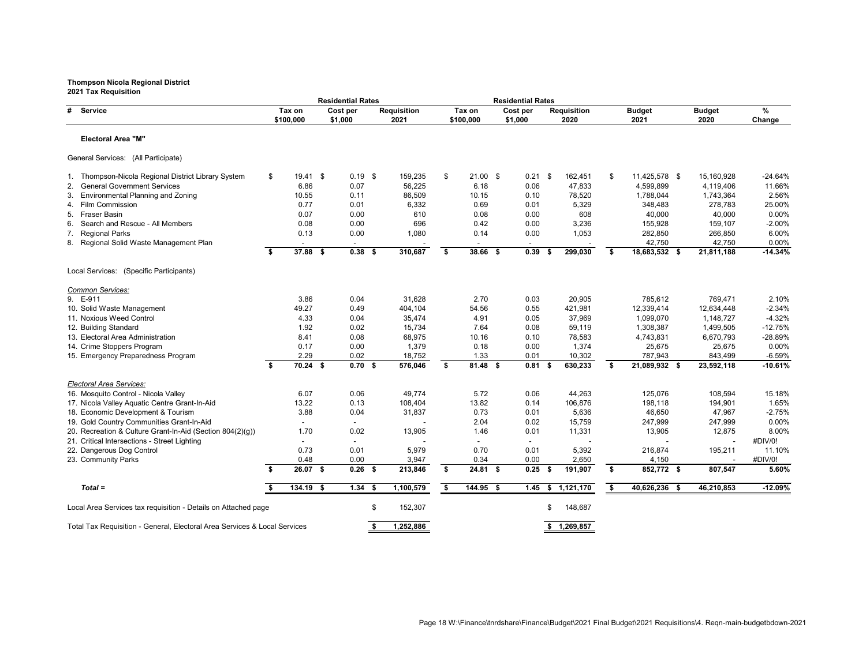|                                                                           |    |             | <b>Residential Rates</b> |     |                    |    |            | <b>Residential Rates</b> |      |                    |    |               |                       |                       |
|---------------------------------------------------------------------------|----|-------------|--------------------------|-----|--------------------|----|------------|--------------------------|------|--------------------|----|---------------|-----------------------|-----------------------|
| #<br><b>Service</b>                                                       |    | Tax on      | Cost per                 |     | <b>Requisition</b> |    | Tax on     | Cost per                 |      | <b>Requisition</b> |    | <b>Budget</b> | <b>Budget</b>         | %                     |
|                                                                           |    | \$100,000   | \$1,000                  |     | 2021               |    | \$100,000  | \$1,000                  |      | 2020               |    | 2021          | 2020                  | Change                |
| <b>Electoral Area "M"</b>                                                 |    |             |                          |     |                    |    |            |                          |      |                    |    |               |                       |                       |
| General Services: (All Participate)                                       |    |             |                          |     |                    |    |            |                          |      |                    |    |               |                       |                       |
| Thompson-Nicola Regional District Library System                          | \$ | $19.41$ \$  | $0.19$ \$                |     | 159,235            | \$ | $21.00$ \$ | $0.21$ \$                |      | 162,451            | \$ | 11,425,578 \$ | 15,160,928            | $-24.64%$             |
| 2. General Government Services                                            |    | 6.86        | 0.07                     |     | 56,225             |    | 6.18       | 0.06                     |      | 47,833             |    | 4,599,899     | 4,119,406             | 11.66%                |
| <b>Environmental Planning and Zoning</b><br>3.                            |    | 10.55       | 0.11                     |     | 86,509             |    | 10.15      | 0.10                     |      | 78,520             |    | 1,788,044     | 1,743,364             | 2.56%                 |
| 4. Film Commission                                                        |    | 0.77        | 0.01                     |     | 6,332              |    | 0.69       | 0.01                     |      | 5,329              |    | 348,483       | 278,783               | 25.00%                |
| 5. Fraser Basin                                                           |    | 0.07        | 0.00                     |     | 610                |    | 0.08       | 0.00                     |      | 608                |    | 40,000        | 40,000                | 0.00%                 |
| 6. Search and Rescue - All Members                                        |    | 0.08        | 0.00                     |     | 696                |    | 0.42       | 0.00                     |      | 3,236              |    | 155,928       | 159,107               | $-2.00%$              |
| 7.<br><b>Regional Parks</b>                                               |    | 0.13        | 0.00                     |     | 1,080              |    | 0.14       | 0.00                     |      | 1,053              |    | 282,850       | 266,850               | 6.00%                 |
| 8. Regional Solid Waste Management Plan                                   |    |             |                          |     |                    |    |            |                          |      |                    |    | 42,750        | 42,750                | 0.00%                 |
|                                                                           | \$ | 37.88 \$    | $0.38$ \$                |     | 310,687            | \$ | 38.66 \$   | 0.39                     |      | 299,030            | \$ | 18,683,532 \$ | 21,811,188            | $-14.34%$             |
| Local Services: (Specific Participants)                                   |    |             |                          |     |                    |    |            |                          |      |                    |    |               |                       |                       |
| Common Services:                                                          |    |             |                          |     |                    |    |            |                          |      |                    |    |               |                       |                       |
| 9. E-911                                                                  |    | 3.86        | 0.04                     |     | 31,628             |    | 2.70       | 0.03                     |      | 20,905             |    | 785,612       | 769,471               | 2.10%                 |
| 10. Solid Waste Management                                                |    | 49.27       | 0.49                     |     | 404,104            |    | 54.56      | 0.55                     |      | 421,981            |    | 12,339,414    | 12,634,448            | $-2.34%$              |
| 11. Noxious Weed Control                                                  |    | 4.33        | 0.04                     |     | 35,474             |    | 4.91       | 0.05                     |      | 37,969             |    | 1,099,070     | 1,148,727             | $-4.32%$              |
| 12. Building Standard                                                     |    | 1.92        | 0.02                     |     | 15,734             |    | 7.64       | 0.08                     |      | 59,119             |    | 1,308,387     | 1,499,505             | $-12.75%$             |
| 13. Electoral Area Administration                                         |    | 8.41        | 0.08                     |     | 68,975             |    | 10.16      | 0.10                     |      | 78,583             |    | 4,743,831     | 6,670,793             | -28.89%               |
|                                                                           |    | 0.17        | 0.00                     |     | 1,379              |    | 0.18       | 0.00                     |      | 1,374              |    | 25,675        | 25,675                | 0.00%                 |
| 14. Crime Stoppers Program                                                |    | 2.29        |                          |     |                    |    | 1.33       |                          |      |                    |    | 787,943       |                       |                       |
| 15. Emergency Preparedness Program                                        | \$ | $70.24$ \$  | 0.02<br>$0.70$ \$        |     | 18,752<br>576,046  | \$ | $81.48$ \$ | 0.01<br>0.81             | - \$ | 10,302<br>630,233  | Ŝ. | 21,089,932 \$ | 843,499<br>23,592,118 | $-6.59%$<br>$-10.61%$ |
|                                                                           |    |             |                          |     |                    |    |            |                          |      |                    |    |               |                       |                       |
| Electoral Area Services:<br>16. Mosquito Control - Nicola Valley          |    | 6.07        | 0.06                     |     | 49,774             |    | 5.72       | 0.06                     |      | 44,263             |    | 125,076       | 108,594               | 15.18%                |
| 17. Nicola Valley Aquatic Centre Grant-In-Aid                             |    | 13.22       | 0.13                     |     | 108,404            |    | 13.82      | 0.14                     |      | 106,876            |    | 198,118       | 194,901               | 1.65%                 |
| 18. Economic Development & Tourism                                        |    | 3.88        | 0.04                     |     | 31,837             |    | 0.73       | 0.01                     |      | 5,636              |    | 46,650        | 47,967                | $-2.75%$              |
| 19. Gold Country Communities Grant-In-Aid                                 |    |             |                          |     |                    |    | 2.04       | 0.02                     |      | 15,759             |    | 247,999       | 247,999               | $0.00\%$              |
| 20. Recreation & Culture Grant-In-Aid (Section 804(2)(g))                 |    | 1.70        | 0.02                     |     | 13,905             |    | 1.46       | 0.01                     |      | 11,331             |    | 13,905        | 12,875                | 8.00%                 |
| 21. Critical Intersections - Street Lighting                              |    |             |                          |     |                    |    |            |                          |      |                    |    |               |                       | #DIV/0!               |
| 22. Dangerous Dog Control                                                 |    | 0.73        | 0.01                     |     | 5,979              |    | 0.70       | 0.01                     |      | 5,392              |    | 216,874       | 195,211               | 11.10%                |
| 23. Community Parks                                                       |    | 0.48        | 0.00                     |     | 3,947              |    | 0.34       | 0.00                     |      | 2,650              |    | 4,150         |                       | #DIV/0!               |
|                                                                           | S. | $26.07$ \$  | $0.26$ \$                |     | 213,846            | S. | $24.81$ \$ | $0.25$ \$                |      | 191,907            | \$ | 852,772 \$    | 807,547               | 5.60%                 |
| $Total =$                                                                 |    | $134.19$ \$ | $1.34$ \$                |     | 1,100,579          | \$ | 144.95 \$  | $1.45$ \$                |      | 1,121,170          | \$ | 40,626,236 \$ | 46,210,853            | $-12.09%$             |
|                                                                           |    |             |                          |     |                    |    |            |                          |      |                    |    |               |                       |                       |
| Local Area Services tax requisition - Details on Attached page            |    |             |                          | \$. | 152,307            |    |            |                          |      | 148,687            |    |               |                       |                       |
| Total Tax Requisition - General, Electoral Area Services & Local Services |    |             |                          |     | 1,252,886          |    |            |                          |      | \$1,269,857        |    |               |                       |                       |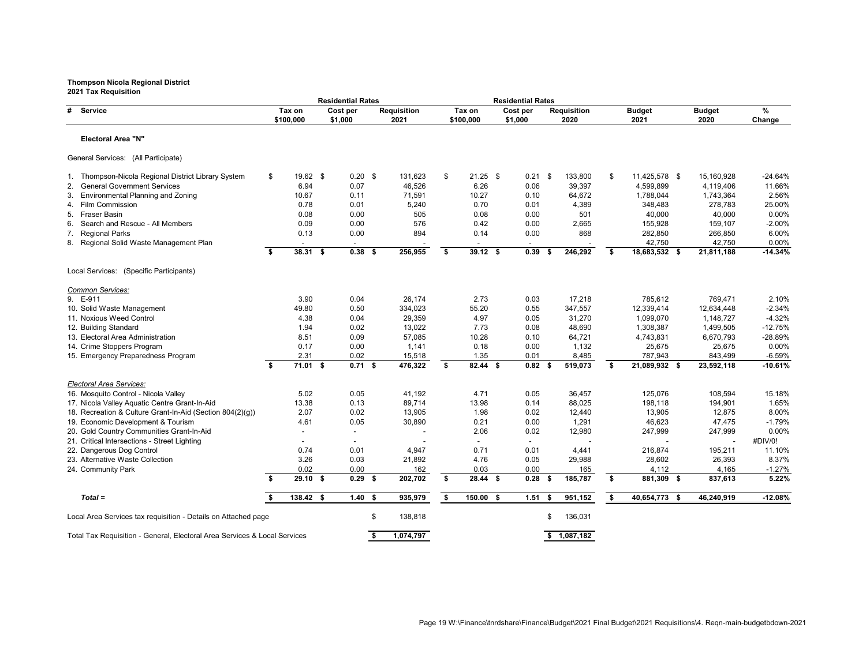|    |                                                                           |    |                     | <b>Residential Rates</b> |     |                            |      |                     | <b>Residential Rates</b> |     |                            |     |                       |                       |                |
|----|---------------------------------------------------------------------------|----|---------------------|--------------------------|-----|----------------------------|------|---------------------|--------------------------|-----|----------------------------|-----|-----------------------|-----------------------|----------------|
| #  | <b>Service</b>                                                            |    | Tax on<br>\$100,000 | Cost per<br>\$1,000      |     | <b>Requisition</b><br>2021 |      | Tax on<br>\$100,000 | Cost per<br>\$1,000      |     | <b>Requisition</b><br>2020 |     | <b>Budget</b><br>2021 | <b>Budget</b><br>2020 | $\%$<br>Change |
|    | <b>Electoral Area "N"</b>                                                 |    |                     |                          |     |                            |      |                     |                          |     |                            |     |                       |                       |                |
|    | General Services: (All Participate)                                       |    |                     |                          |     |                            |      |                     |                          |     |                            |     |                       |                       |                |
|    | Thompson-Nicola Regional District Library System                          | \$ | $19.62$ \$          | $0.20$ \$                |     | 131,623                    | \$   | $21.25$ \$          | $0.21$ \$                |     | 133,800                    | \$  | 11,425,578 \$         | 15,160,928            | -24.64%        |
| 2. | <b>General Government Services</b>                                        |    | 6.94                | 0.07                     |     | 46,526                     |      | 6.26                | 0.06                     |     | 39,397                     |     | 4,599,899             | 4,119,406             | 11.66%         |
|    | <b>Environmental Planning and Zoning</b>                                  |    | 10.67               | 0.11                     |     | 71,591                     |      | 10.27               | 0.10                     |     | 64,672                     |     | 1,788,044             | 1,743,364             | 2.56%          |
|    | 4. Film Commission                                                        |    | 0.78                | 0.01                     |     | 5,240                      |      | 0.70                | 0.01                     |     | 4,389                      |     | 348,483               | 278,783               | 25.00%         |
|    | 5. Fraser Basin                                                           |    | 0.08                | 0.00                     |     | 505                        |      | 0.08                | 0.00                     |     | 501                        |     | 40,000                | 40,000                | 0.00%          |
| 6. | Search and Rescue - All Members                                           |    | 0.09                | 0.00                     |     | 576                        |      | 0.42                | 0.00                     |     | 2,665                      |     | 155,928               | 159,107               | $-2.00%$       |
| 7. | <b>Regional Parks</b>                                                     |    | 0.13                | 0.00                     |     | 894                        |      | 0.14                | 0.00                     |     | 868                        |     | 282,850               | 266,850               | 6.00%          |
|    | 8. Regional Solid Waste Management Plan                                   |    |                     |                          |     |                            |      |                     |                          |     |                            |     | 42,750                | 42,750                | 0.00%          |
|    |                                                                           | \$ | 38.31 \$            | $0.38$ \$                |     | 256,955                    | \$   | $39.12$ \$          | 0.39                     |     | 246,292                    | -\$ | 18,683,532 \$         | 21,811,188            | $-14.34%$      |
|    | Local Services: (Specific Participants)                                   |    |                     |                          |     |                            |      |                     |                          |     |                            |     |                       |                       |                |
|    | Common Services:                                                          |    |                     |                          |     |                            |      |                     |                          |     |                            |     |                       |                       |                |
|    | 9. E-911                                                                  |    | 3.90                | 0.04                     |     | 26,174                     |      | 2.73                | 0.03                     |     | 17,218                     |     | 785,612               | 769,471               | 2.10%          |
|    | 10. Solid Waste Management                                                |    | 49.80               | 0.50                     |     | 334,023                    |      | 55.20               | 0.55                     |     | 347,557                    |     | 12,339,414            | 12,634,448            | $-2.34%$       |
|    | 11. Noxious Weed Control                                                  |    | 4.38                | 0.04                     |     | 29,359                     |      | 4.97                | 0.05                     |     | 31,270                     |     | 1,099,070             | 1,148,727             | $-4.32%$       |
|    | 12. Building Standard                                                     |    | 1.94                | 0.02                     |     | 13,022                     |      | 7.73                | 0.08                     |     | 48,690                     |     | 1,308,387             | 1,499,505             | $-12.75%$      |
|    | 13. Electoral Area Administration                                         |    | 8.51                | 0.09                     |     | 57,085                     |      | 10.28               | 0.10                     |     | 64,721                     |     | 4,743,831             | 6,670,793             | -28.89%        |
|    | 14. Crime Stoppers Program                                                |    | 0.17                | 0.00                     |     | 1,141                      |      | 0.18                | 0.00                     |     | 1,132                      |     | 25,675                | 25,675                | 0.00%          |
|    | 15. Emergency Preparedness Program                                        |    | 2.31                | 0.02                     |     | 15,518                     |      | 1.35                | 0.01                     |     | 8,485                      |     | 787,943               | 843,499               | $-6.59%$       |
|    |                                                                           | \$ | $71.01$ \$          | $0.71$ \$                |     | 476,322                    | \$   | 82.44 \$            | $0.82$ \$                |     | 519,073                    | \$  | 21,089,932 \$         | 23,592,118            | $-10.61%$      |
|    | <b>Electoral Area Services:</b>                                           |    |                     |                          |     |                            |      |                     |                          |     |                            |     |                       |                       |                |
|    | 16. Mosquito Control - Nicola Valley                                      |    | 5.02                | 0.05                     |     | 41,192                     |      | 4.71                | 0.05                     |     | 36,457                     |     | 125,076               | 108,594               | 15.18%         |
|    | 17. Nicola Valley Aquatic Centre Grant-In-Aid                             |    | 13.38               | 0.13                     |     | 89,714                     |      | 13.98               | 0.14                     |     | 88,025                     |     | 198,118               | 194,901               | 1.65%          |
|    | 18. Recreation & Culture Grant-In-Aid (Section 804(2)(g))                 |    | 2.07                | 0.02                     |     | 13,905                     |      | 1.98                | 0.02                     |     | 12,440                     |     | 13,905                | 12,875                | 8.00%          |
|    | 19. Economic Development & Tourism                                        |    | 4.61                | 0.05                     |     | 30,890                     |      | 0.21                | 0.00                     |     | 1,291                      |     | 46,623                | 47,475                | $-1.79%$       |
|    | 20. Gold Country Communities Grant-In-Aid                                 |    |                     |                          |     |                            |      | 2.06                | 0.02                     |     | 12,980                     |     | 247,999               | 247,999               | $0.00\%$       |
|    | 21. Critical Intersections - Street Lighting                              |    |                     |                          |     |                            |      |                     |                          |     |                            |     |                       |                       | #DIV/0!        |
|    | 22. Dangerous Dog Control                                                 |    | 0.74                | 0.01                     |     | 4,947                      |      | 0.71                | 0.01                     |     | 4,441                      |     | 216,874               | 195,211               | 11.10%         |
|    | 23. Alternative Waste Collection                                          |    | 3.26                | 0.03                     |     | 21,892                     |      | 4.76                | 0.05                     |     | 29,988                     |     | 28,602                | 26,393                | 8.37%          |
|    | 24. Community Park                                                        |    | 0.02                | 0.00                     |     | 162                        |      | 0.03                | 0.00                     |     | 165                        |     | 4,112                 | 4,165                 | $-1.27%$       |
|    |                                                                           | S. | $29.10$ \$          | $0.29$ \$                |     | 202,702                    | \$   | $28.44$ \$          | $0.28$ \$                |     | 185,787                    | \$  | 881,309 \$            | 837,613               | 5.22%          |
|    | $Total =$                                                                 |    | $138.42$ \$         | $1.40$ \$                |     | 935,979                    | - \$ | 150.00 \$           | 1.51                     | - 5 | 951,152                    | - 5 | 40,654,773 \$         | 46,240,919            | $-12.08%$      |
|    | Local Area Services tax requisition - Details on Attached page            |    |                     |                          | \$. | 138,818                    |      |                     |                          | S   | 136,031                    |     |                       |                       |                |
|    | Total Tax Requisition - General, Electoral Area Services & Local Services |    |                     |                          |     | 1,074,797                  |      |                     |                          |     | \$1,087,182                |     |                       |                       |                |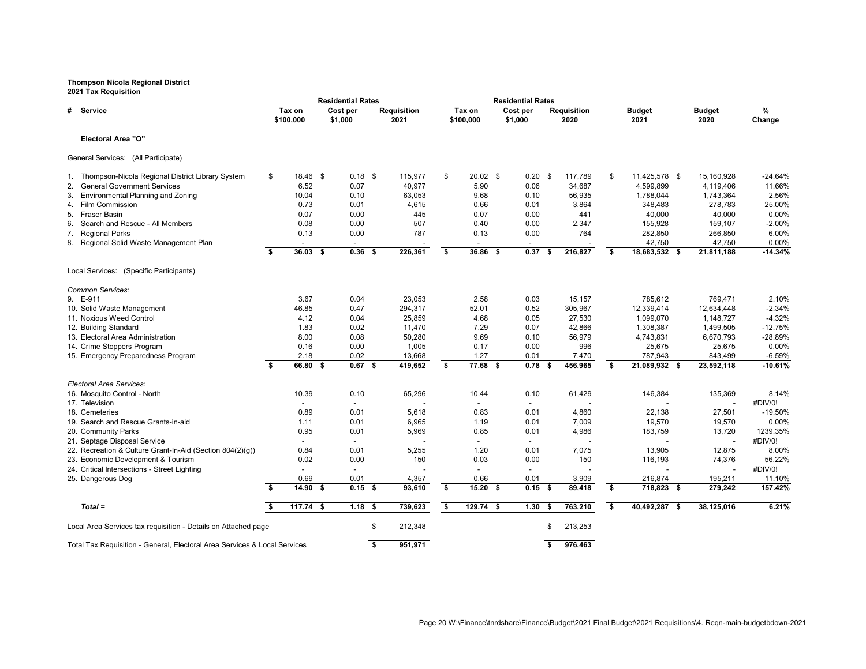|                                                                           |    |             | <b>Residential Rates</b> |                    |    |            | <b>Residential Rates</b> |                   |      |                    |    |               |               |                 |
|---------------------------------------------------------------------------|----|-------------|--------------------------|--------------------|----|------------|--------------------------|-------------------|------|--------------------|----|---------------|---------------|-----------------|
| # Service                                                                 |    | Tax on      | Cost per                 | <b>Requisition</b> |    | Tax on     | Cost per                 |                   |      | <b>Requisition</b> |    | <b>Budget</b> | <b>Budget</b> | $\overline{\%}$ |
|                                                                           |    | \$100,000   | \$1,000                  | 2021               |    | \$100,000  | \$1,000                  |                   |      | 2020               |    | 2021          | 2020          | Change          |
| <b>Electoral Area "O"</b>                                                 |    |             |                          |                    |    |            |                          |                   |      |                    |    |               |               |                 |
| General Services: (All Participate)                                       |    |             |                          |                    |    |            |                          |                   |      |                    |    |               |               |                 |
| 1. Thompson-Nicola Regional District Library System                       | \$ | 18.46 \$    | $0.18$ \$                | 115,977            | \$ | $20.02$ \$ |                          | $0.20$ \$         |      | 117,789            | \$ | 11,425,578 \$ | 15,160,928    | -24.64%         |
| <b>General Government Services</b><br>2.                                  |    | 6.52        | 0.07                     | 40,977             |    | 5.90       |                          | 0.06              |      | 34,687             |    | 4,599,899     | 4,119,406     | 11.66%          |
| 3. Environmental Planning and Zoning                                      |    | 10.04       | 0.10                     | 63,053             |    | 9.68       |                          | 0.10              |      | 56,935             |    | 1,788,044     | 1,743,364     | 2.56%           |
| 4. Film Commission                                                        |    | 0.73        | 0.01                     | 4,615              |    | 0.66       |                          | 0.01              |      | 3,864              |    | 348,483       | 278,783       | 25.00%          |
| Fraser Basin<br>5.                                                        |    | 0.07        | 0.00                     | 445                |    | 0.07       |                          | 0.00              |      | 441                |    | 40,000        | 40,000        | 0.00%           |
| Search and Rescue - All Members<br>6.                                     |    | 0.08        | 0.00                     | 507                |    | 0.40       |                          | 0.00              |      | 2,347              |    | 155,928       | 159,107       | $-2.00%$        |
| <b>Regional Parks</b><br>7.                                               |    | 0.13        | 0.00                     | 787                |    | 0.13       |                          | 0.00              |      | 764                |    | 282,850       | 266,850       | 6.00%           |
| 8. Regional Solid Waste Management Plan                                   |    |             |                          |                    |    |            |                          |                   |      |                    |    | 42,750        | 42,750        | 0.00%           |
|                                                                           | \$ | $36.03$ \$  | $0.36$ \$                | 226,361            | \$ | 36.86 \$   |                          | 0.37              | - \$ | 216,827            | \$ | 18,683,532 \$ | 21,811,188    | $-14.34%$       |
| Local Services: (Specific Participants)                                   |    |             |                          |                    |    |            |                          |                   |      |                    |    |               |               |                 |
| Common Services:                                                          |    |             |                          |                    |    |            |                          |                   |      |                    |    |               |               |                 |
| 9. E-911                                                                  |    | 3.67        | 0.04                     | 23,053             |    | 2.58       |                          | 0.03              |      | 15,157             |    | 785,612       | 769,471       | 2.10%           |
| 10. Solid Waste Management                                                |    | 46.85       | 0.47                     | 294,317            |    | 52.01      |                          | 0.52              |      | 305,967            |    | 12,339,414    | 12,634,448    | $-2.34%$        |
| 11. Noxious Weed Control                                                  |    | 4.12        | 0.04                     | 25,859             |    | 4.68       |                          | 0.05              |      | 27,530             |    | 1,099,070     | 1,148,727     | $-4.32%$        |
| 12. Building Standard                                                     |    | 1.83        | 0.02                     | 11,470             |    | 7.29       |                          | 0.07              |      | 42,866             |    | 1,308,387     | 1,499,505     | $-12.75%$       |
| 13. Electoral Area Administration                                         |    | 8.00        | 0.08                     | 50,280             |    | 9.69       |                          | 0.10              |      | 56,979             |    | 4,743,831     | 6,670,793     | -28.89%         |
| 14. Crime Stoppers Program                                                |    | 0.16        | 0.00                     | 1,005              |    | 0.17       |                          | 0.00              |      | 996                |    | 25,675        | 25,675        | 0.00%           |
| 15. Emergency Preparedness Program                                        |    | 2.18        | 0.02                     | 13,668             |    | 1.27       |                          | 0.01              |      | 7,470              |    | 787,943       | 843,499       | $-6.59%$        |
|                                                                           | \$ | $66.80$ \$  | $0.67$ \$                | 419,652            | \$ | 77.68 \$   |                          | 0.78              | - \$ | 456,965            | Ŝ. | 21,089,932 \$ | 23,592,118    | $-10.61%$       |
| Electoral Area Services:                                                  |    |             |                          |                    |    |            |                          |                   |      |                    |    |               |               |                 |
| 16. Mosquito Control - North                                              |    | 10.39       | 0.10                     | 65,296             |    | 10.44      |                          | 0.10              |      | 61,429             |    | 146,384       | 135,369       | 8.14%           |
| 17. Television                                                            |    |             |                          |                    |    | $\sim$     |                          |                   |      |                    |    |               |               | #DIV/0!         |
| 18. Cemeteries                                                            |    | 0.89        | 0.01                     | 5,618              |    | 0.83       |                          | 0.01              |      | 4,860              |    | 22,138        | 27,501        | $-19.50%$       |
| 19. Search and Rescue Grants-in-aid                                       |    | 1.11        | 0.01                     | 6,965              |    | 1.19       |                          | 0.01              |      | 7,009              |    | 19,570        | 19,570        | 0.00%           |
| 20. Community Parks                                                       |    | 0.95        | 0.01                     | 5,969              |    | 0.85       |                          | 0.01              |      | 4,986              |    | 183,759       | 13,720        | 1239.35%        |
| 21. Septage Disposal Service                                              |    |             |                          |                    |    |            |                          |                   |      |                    |    |               |               | #DIV/0!         |
| 22. Recreation & Culture Grant-In-Aid (Section 804(2)(g))                 |    | 0.84        | 0.01                     | 5,255              |    | 1.20       |                          | 0.01              |      | 7,075              |    | 13,905        | 12,875        | 8.00%           |
| 23. Economic Development & Tourism                                        |    | 0.02        | 0.00                     | 150                |    | 0.03       |                          | 0.00              |      | 150                |    | 116,193       | 74,376        | 56.22%          |
| 24. Critical Intersections - Street Lighting                              |    |             |                          |                    |    |            |                          |                   |      |                    |    |               |               | #DIV/0!         |
| 25. Dangerous Dog                                                         |    | 0.69        | 0.01                     | 4,357              |    | 0.66       |                          | 0.01              |      | 3,909              |    | 216,874       | 195,211       | 11.10%          |
|                                                                           | Ŝ. | $14.90$ \$  | $0.15$ \$                | 93,610             | \$ | $15.20$ \$ |                          | $0.15$ \$         |      | 89,418             | \$ | 718,823 \$    | 279,242       | 157.42%         |
| $Total =$                                                                 |    | $117.74$ \$ | $1.18$ \$                | 739,623            | S. | 129.74 \$  |                          | 1.30 <sup>5</sup> |      | 763,210            | \$ | 40,492,287 \$ | 38,125,016    | 6.21%           |
| Local Area Services tax requisition - Details on Attached page            |    |             |                          | 212,348<br>S       |    |            |                          |                   |      | 213,253            |    |               |               |                 |
| Total Tax Requisition - General, Electoral Area Services & Local Services |    |             |                          | 951,971            |    |            |                          |                   |      | 976,463            |    |               |               |                 |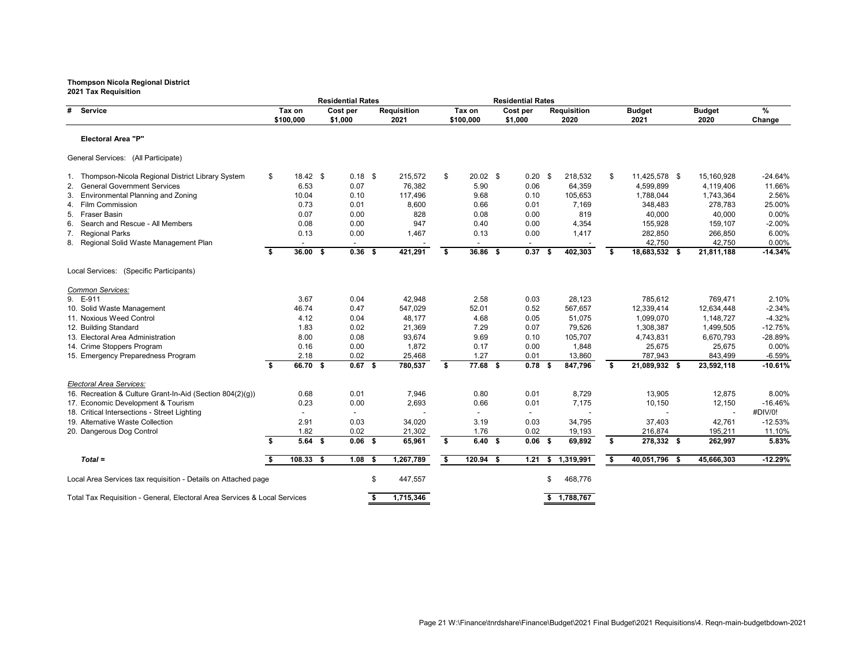|                                                                           |                     | <b>Residential Rates</b> |                            |                     | <b>Residential Rates</b> |     |                            |    |                       |                       |             |
|---------------------------------------------------------------------------|---------------------|--------------------------|----------------------------|---------------------|--------------------------|-----|----------------------------|----|-----------------------|-----------------------|-------------|
| <b>Service</b><br>#                                                       | Tax on<br>\$100,000 | Cost per<br>\$1,000      | <b>Requisition</b><br>2021 | Tax on<br>\$100,000 | Cost per<br>\$1,000      |     | <b>Requisition</b><br>2020 |    | <b>Budget</b><br>2021 | <b>Budget</b><br>2020 | %<br>Change |
| <b>Electoral Area "P"</b>                                                 |                     |                          |                            |                     |                          |     |                            |    |                       |                       |             |
| General Services: (All Participate)                                       |                     |                          |                            |                     |                          |     |                            |    |                       |                       |             |
| 1. Thompson-Nicola Regional District Library System                       | \$<br>$18.42$ \$    | $0.18$ \$                | 215,572                    | \$<br>$20.02$ \$    | $0.20$ \$                |     | 218,532                    | \$ | 11,425,578 \$         | 15,160,928            | $-24.64%$   |
| <b>General Government Services</b>                                        | 6.53                | 0.07                     | 76,382                     | 5.90                | 0.06                     |     | 64,359                     |    | 4,599,899             | 4,119,406             | 11.66%      |
| <b>Environmental Planning and Zoning</b><br>3.                            | 10.04               | 0.10                     | 117,496                    | 9.68                | 0.10                     |     | 105,653                    |    | 1,788,044             | 1,743,364             | 2.56%       |
| 4. Film Commission                                                        | 0.73                | 0.01                     | 8,600                      | 0.66                | 0.01                     |     | 7,169                      |    | 348,483               | 278,783               | 25.00%      |
| Fraser Basin<br>5.                                                        | 0.07                | 0.00                     | 828                        | 0.08                | 0.00                     |     | 819                        |    | 40,000                | 40,000                | 0.00%       |
| Search and Rescue - All Members<br>6.                                     | 0.08                | 0.00                     | 947                        | 0.40                | 0.00                     |     | 4,354                      |    | 155,928               | 159,107               | $-2.00%$    |
| 7. Regional Parks                                                         | 0.13                | 0.00                     | 1,467                      | 0.13                | 0.00                     |     | 1,417                      |    | 282,850               | 266,850               | 6.00%       |
| 8. Regional Solid Waste Management Plan                                   |                     |                          |                            |                     |                          |     |                            |    | 42,750                | 42,750                | 0.00%       |
|                                                                           | \$<br>$36.00$ \$    | $0.36$ \$                | 421,291                    | \$<br>36.86 \$      | 0.37                     | - 5 | 402,303                    | \$ | 18,683,532 \$         | 21,811,188            | $-14.34%$   |
| Local Services: (Specific Participants)                                   |                     |                          |                            |                     |                          |     |                            |    |                       |                       |             |
| Common Services:                                                          |                     |                          |                            |                     |                          |     |                            |    |                       |                       |             |
| 9. E-911                                                                  | 3.67                | 0.04                     | 42,948                     | 2.58                | 0.03                     |     | 28,123                     |    | 785,612               | 769,471               | 2.10%       |
| 10. Solid Waste Management                                                | 46.74               | 0.47                     | 547,029                    | 52.01               | 0.52                     |     | 567,657                    |    | 12,339,414            | 12,634,448            | $-2.34%$    |
| 11. Noxious Weed Control                                                  | 4.12                | 0.04                     | 48,177                     | 4.68                | 0.05                     |     | 51,075                     |    | 1,099,070             | 1,148,727             | $-4.32%$    |
| 12. Building Standard                                                     | 1.83                | 0.02                     | 21,369                     | 7.29                | 0.07                     |     | 79,526                     |    | 1,308,387             | 1,499,505             | $-12.75%$   |
| 13. Electoral Area Administration                                         | 8.00                | 0.08                     | 93,674                     | 9.69                | 0.10                     |     | 105,707                    |    | 4,743,831             | 6,670,793             | -28.89%     |
| 14. Crime Stoppers Program                                                | 0.16                | 0.00                     | 1,872                      | 0.17                | 0.00                     |     | 1,848                      |    | 25,675                | 25,675                | 0.00%       |
| 15. Emergency Preparedness Program                                        | 2.18                | 0.02                     | 25,468                     | 1.27                | 0.01                     |     | 13,860                     |    | 787,943               | 843,499               | $-6.59%$    |
|                                                                           | \$<br>66.70 \$      | $0.67$ \$                | 780,537                    | \$<br>77.68 \$      | $0.78$ \$                |     | 847,796                    | -S | 21,089,932 \$         | 23,592,118            | $-10.61%$   |
| <b>Electoral Area Services:</b>                                           |                     |                          |                            |                     |                          |     |                            |    |                       |                       |             |
| 16. Recreation & Culture Grant-In-Aid (Section 804(2)(g))                 | 0.68                | 0.01                     | 7,946                      | 0.80                | 0.01                     |     | 8,729                      |    | 13,905                | 12,875                | 8.00%       |
| 17. Economic Development & Tourism                                        | 0.23                | 0.00                     | 2,693                      | 0.66                | 0.01                     |     | 7,175                      |    | 10,150                | 12,150                | $-16.46%$   |
| 18. Critical Intersections - Street Lighting                              |                     |                          |                            |                     |                          |     |                            |    |                       |                       | #DIV/0!     |
| 19. Alternative Waste Collection                                          | 2.91                | 0.03                     | 34,020                     | 3.19                | 0.03                     |     | 34,795                     |    | 37,403                | 42,761                | $-12.53%$   |
| 20. Dangerous Dog Control                                                 | 1.82                | 0.02                     | 21,302                     | 1.76                | 0.02                     |     | 19,193                     |    | 216,874               | 195,211               | 11.10%      |
|                                                                           | \$<br>$5.64$ \$     | $0.06$ \$                | 65,961                     | \$<br>6.40%         | $0.06$ \$                |     | 69,892                     | \$ | 278,332 \$            | 262,997               | 5.83%       |
| $Total =$                                                                 | $108.33$ \$         | $1.08$ \$                | 1,267,789                  | \$<br>$120.94$ \$   |                          |     | 1.21 \$ 1,319,991          | \$ | 40,051,796 \$         | 45,666,303            | $-12.29%$   |
| Local Area Services tax requisition - Details on Attached page            |                     |                          | \$<br>447,557              |                     |                          | \$. | 468,776                    |    |                       |                       |             |
| Total Tax Requisition - General, Electoral Area Services & Local Services |                     |                          | 1,715,346                  |                     |                          |     | \$1,788,767                |    |                       |                       |             |
|                                                                           |                     |                          |                            |                     |                          |     |                            |    |                       |                       |             |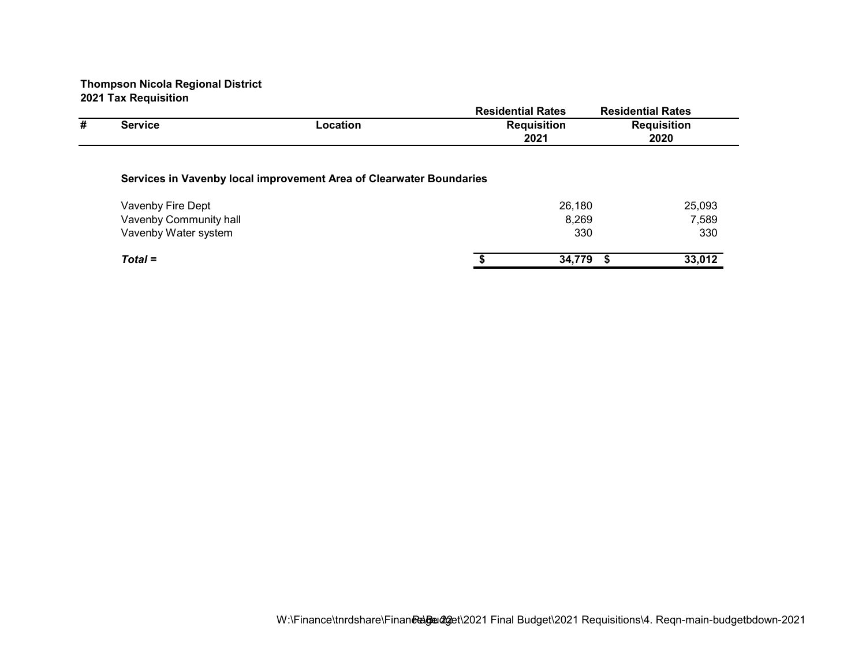|   |                        |                                                                     | <b>Residential Rates</b> |           | <b>Residential Rates</b> |
|---|------------------------|---------------------------------------------------------------------|--------------------------|-----------|--------------------------|
| # | <b>Service</b>         | Location                                                            | <b>Requisition</b>       |           | <b>Requisition</b>       |
|   |                        |                                                                     | 2021                     |           | 2020                     |
|   |                        | Services in Vavenby local improvement Area of Clearwater Boundaries |                          |           |                          |
|   | Vavenby Fire Dept      |                                                                     |                          | 26,180    | 25,093                   |
|   | Vavenby Community hall |                                                                     |                          | 8,269     | 7,589                    |
|   | Vavenby Water system   |                                                                     |                          | 330       | 330                      |
|   | $Total =$              |                                                                     |                          | 34,779 \$ | 33,012                   |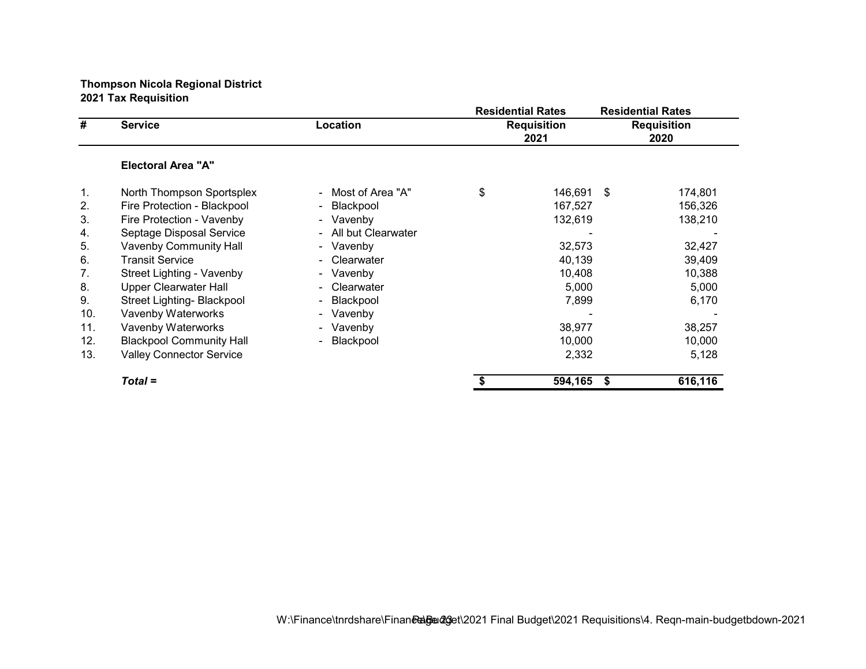|     |                                 |                                     | <b>Residential Rates</b>   |     | <b>Residential Rates</b>   |
|-----|---------------------------------|-------------------------------------|----------------------------|-----|----------------------------|
| #   | <b>Service</b>                  | Location                            | <b>Requisition</b><br>2021 |     | <b>Requisition</b><br>2020 |
|     | <b>Electoral Area "A"</b>       |                                     |                            |     |                            |
| 1.  | North Thompson Sportsplex       | - Most of Area "A"                  | \$<br>146,691              | -\$ | 174,801                    |
| 2.  | Fire Protection - Blackpool     | Blackpool<br>$\sim$                 | 167,527                    |     | 156,326                    |
| 3.  | Fire Protection - Vavenby       | - Vavenby                           | 132,619                    |     | 138,210                    |
| 4.  | Septage Disposal Service        | All but Clearwater<br>$\sim$        |                            |     |                            |
| 5.  | <b>Vavenby Community Hall</b>   | - Vavenby                           | 32,573                     |     | 32,427                     |
| 6.  | <b>Transit Service</b>          | Clearwater                          | 40,139                     |     | 39,409                     |
| 7.  | Street Lighting - Vavenby       | - Vavenby                           | 10,408                     |     | 10,388                     |
| 8.  | <b>Upper Clearwater Hall</b>    | Clearwater                          | 5,000                      |     | 5,000                      |
| 9.  | Street Lighting- Blackpool      | Blackpool<br>$\blacksquare$         | 7,899                      |     | 6,170                      |
| 10. | Vavenby Waterworks              | Vavenby<br>$\overline{\phantom{0}}$ |                            |     |                            |
| 11. | Vavenby Waterworks              | - Vavenby                           | 38,977                     |     | 38,257                     |
| 12. | <b>Blackpool Community Hall</b> | Blackpool                           | 10,000                     |     | 10,000                     |
| 13. | <b>Valley Connector Service</b> |                                     | 2,332                      |     | 5,128                      |
|     | $Total =$                       |                                     | 594,165                    | \$  | 616,116                    |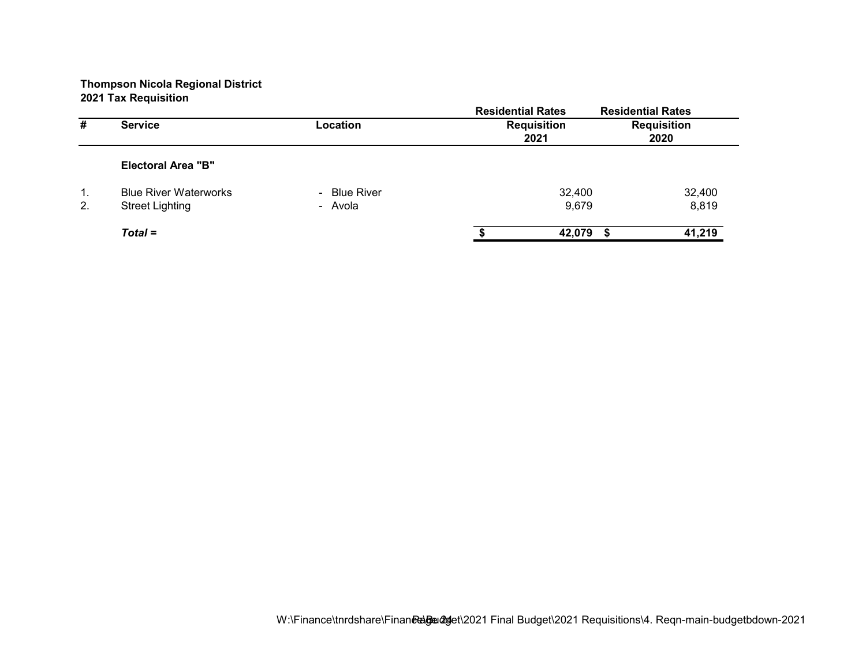|    |                              |              | <b>Residential Rates</b> | <b>Residential Rates</b> |
|----|------------------------------|--------------|--------------------------|--------------------------|
| #  | <b>Service</b>               | Location     | <b>Requisition</b>       | <b>Requisition</b>       |
|    |                              |              | 2021                     | 2020                     |
|    | <b>Electoral Area "B"</b>    |              |                          |                          |
| 1. | <b>Blue River Waterworks</b> | - Blue River | 32,400                   | 32,400                   |
| 2. | <b>Street Lighting</b>       | - Avola      | 9,679                    | 8,819                    |
|    | $Total =$                    |              | 42,079                   | 41,219                   |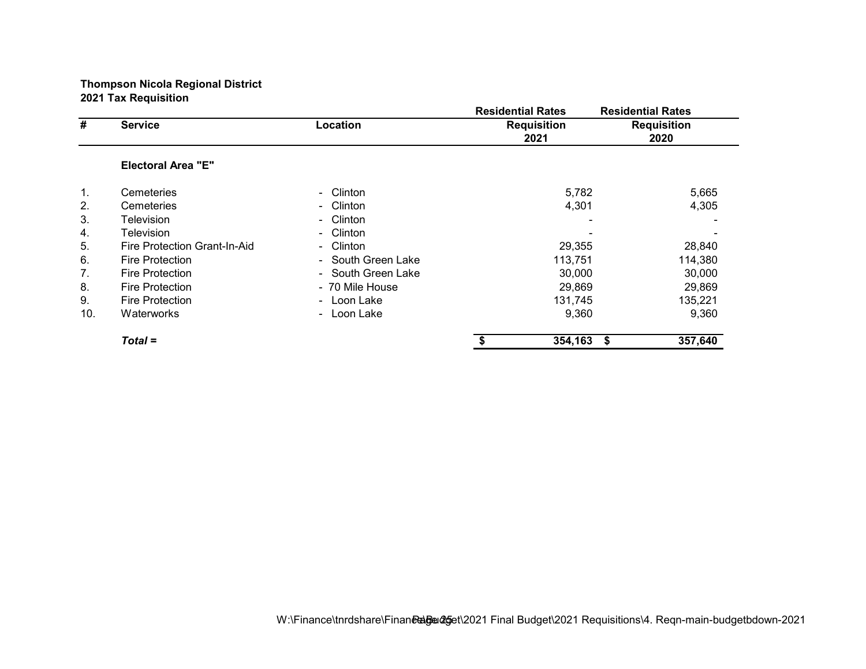|     |                              |                                     | <b>Residential Rates</b>   |         | <b>Residential Rates</b>   |
|-----|------------------------------|-------------------------------------|----------------------------|---------|----------------------------|
| #   | <b>Service</b>               | Location                            | <b>Requisition</b><br>2021 |         | <b>Requisition</b><br>2020 |
|     | <b>Electoral Area "E"</b>    |                                     |                            |         |                            |
| 1.  | Cemeteries                   | - Clinton                           |                            | 5,782   | 5,665                      |
| 2.  | Cemeteries                   | - Clinton                           |                            | 4,301   | 4,305                      |
| 3.  | Television                   | Clinton<br>$\sim$                   |                            |         |                            |
| 4.  | Television                   | Clinton<br>$\sim$                   |                            |         |                            |
| 5.  | Fire Protection Grant-In-Aid | Clinton<br>$\overline{\phantom{0}}$ |                            | 29,355  | 28,840                     |
| 6.  | <b>Fire Protection</b>       | - South Green Lake                  |                            | 113,751 | 114,380                    |
| 7.  | <b>Fire Protection</b>       | - South Green Lake                  |                            | 30,000  | 30,000                     |
| 8.  | <b>Fire Protection</b>       | - 70 Mile House                     |                            | 29,869  | 29,869                     |
| 9.  | <b>Fire Protection</b>       | - Loon Lake                         |                            | 131,745 | 135,221                    |
| 10. | Waterworks                   | - Loon Lake                         |                            | 9,360   | 9,360                      |
|     | $Total =$                    |                                     |                            | 354,163 | 357,640<br>-\$             |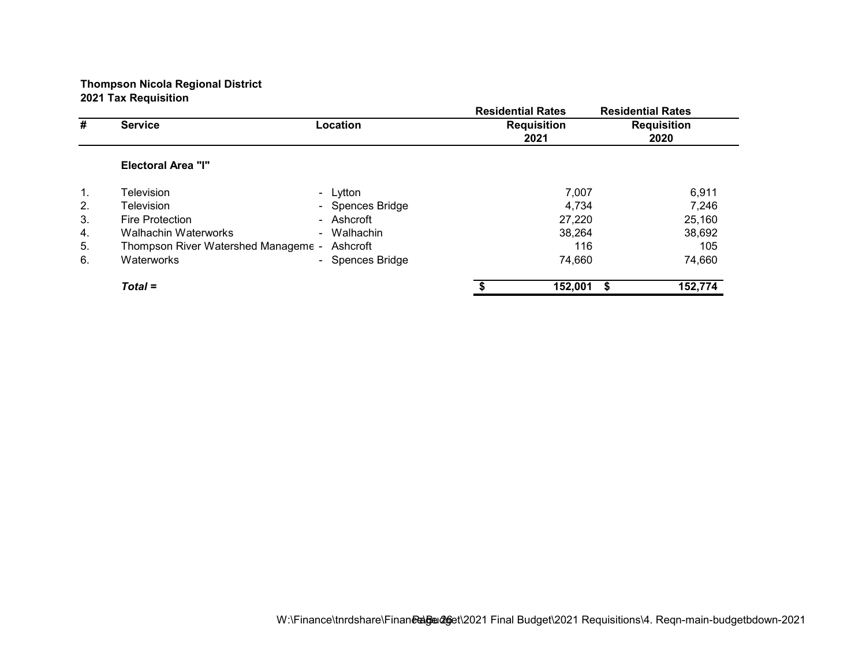|                |                                     |                     | <b>Residential Rates</b>   |         | <b>Residential Rates</b>   |
|----------------|-------------------------------------|---------------------|----------------------------|---------|----------------------------|
| #              | <b>Service</b>                      | Location            | <b>Requisition</b><br>2021 |         | <b>Requisition</b><br>2020 |
|                | <b>Electoral Area "I"</b>           |                     |                            |         |                            |
| $\mathbf{1}$ . | <b>Television</b>                   | - Lytton            |                            | 7,007   | 6,911                      |
| 2.             | <b>Television</b>                   | - Spences Bridge    |                            | 4.734   | 7,246                      |
| 3.             | <b>Fire Protection</b>              | - Ashcroft          |                            | 27,220  | 25,160                     |
| 4.             | Walhachin Waterworks                | Walhachin<br>$\sim$ |                            | 38,264  | 38,692                     |
| 5.             | Thompson River Watershed Manageme - | Ashcroft            |                            | 116     | 105                        |
| 6.             | Waterworks                          | - Spences Bridge    |                            | 74,660  | 74,660                     |
|                | $Total =$                           |                     |                            | 152,001 | 152,774<br>S               |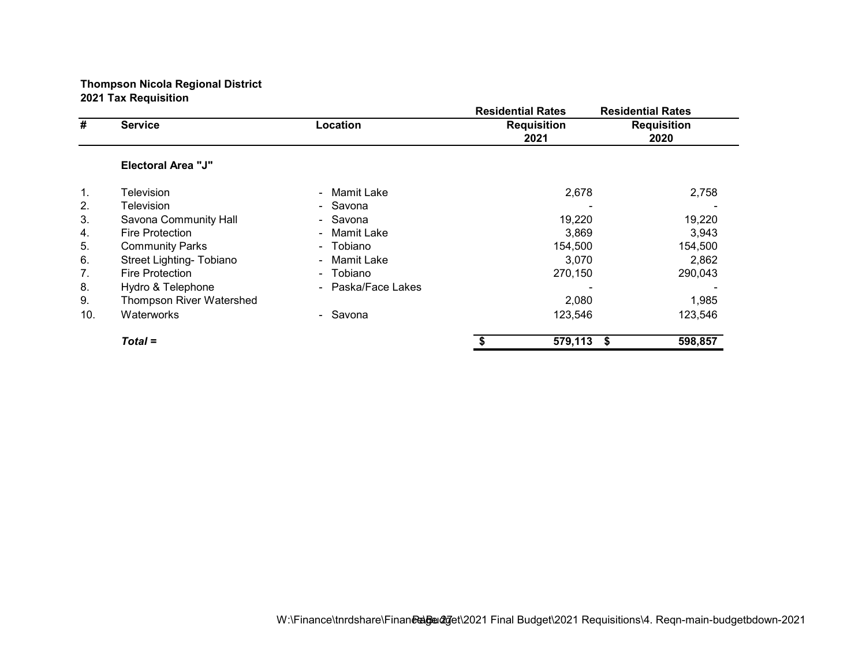|     |                           |                              | <b>Residential Rates</b>   |                 | <b>Residential Rates</b>   |
|-----|---------------------------|------------------------------|----------------------------|-----------------|----------------------------|
| #   | <b>Service</b>            | Location                     | <b>Requisition</b><br>2021 |                 | <b>Requisition</b><br>2020 |
|     | <b>Electoral Area "J"</b> |                              |                            |                 |                            |
| 1.  | <b>Television</b>         | - Mamit Lake                 |                            | 2,678           | 2,758                      |
| 2.  | Television                | - Savona                     |                            |                 |                            |
| 3.  | Savona Community Hall     | - Savona                     |                            | 19,220          | 19,220                     |
| 4.  | <b>Fire Protection</b>    | Mamit Lake<br>$\blacksquare$ |                            | 3.869           | 3.943                      |
| 5.  | <b>Community Parks</b>    | Tobiano<br>÷.                |                            | 154,500         | 154,500                    |
| 6.  | Street Lighting- Tobiano  | Mamit Lake<br>$\sim$         |                            | 3.070           | 2,862                      |
| 7.  | Fire Protection           | - Tobiano                    |                            | 270,150         | 290,043                    |
| 8.  | Hydro & Telephone         | - Paska/Face Lakes           |                            |                 |                            |
| 9.  | Thompson River Watershed  |                              |                            | 2,080           | 1,985                      |
| 10. | Waterworks                | - Savona                     |                            | 123,546         | 123,546                    |
|     | $Total =$                 |                              |                            | 579,113<br>- \$ | 598,857                    |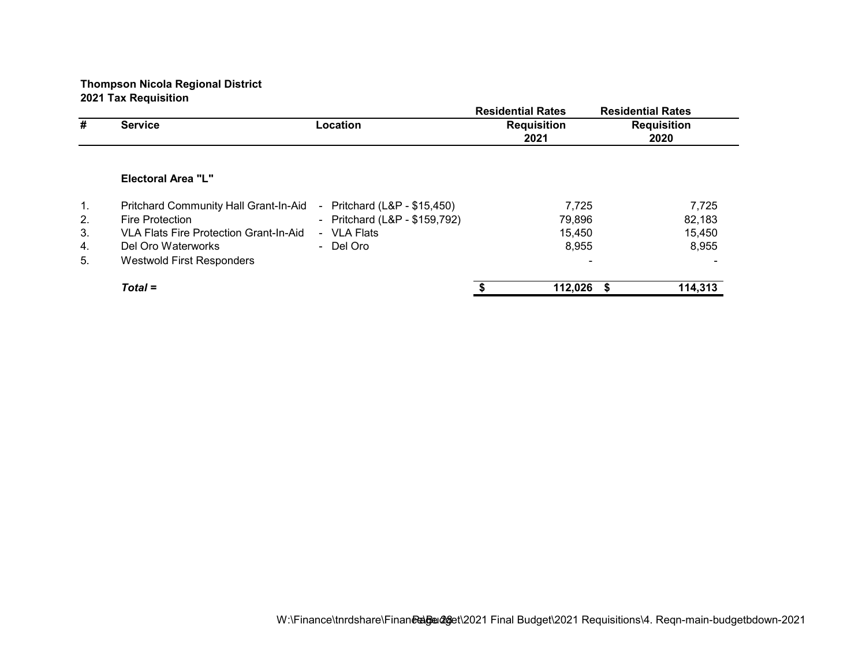|    |                                               |                                      | <b>Residential Rates</b>   | <b>Residential Rates</b>   |
|----|-----------------------------------------------|--------------------------------------|----------------------------|----------------------------|
| #  | <b>Service</b>                                | Location                             | <b>Requisition</b><br>2021 | <b>Requisition</b><br>2020 |
|    |                                               |                                      |                            |                            |
|    | Electoral Area "L"                            |                                      |                            |                            |
| 1. | Pritchard Community Hall Grant-In-Aid         | Pritchard (L&P - \$15,450)<br>$\sim$ | 7,725                      | 7,725                      |
| 2. | <b>Fire Protection</b>                        | - Pritchard (L&P - \$159,792)        | 79,896                     | 82,183                     |
| 3. | <b>VLA Flats Fire Protection Grant-In-Aid</b> | - VLA Flats                          | 15,450                     | 15,450                     |
| 4. | Del Oro Waterworks                            | - Del Oro                            | 8,955                      | 8,955                      |
| 5. | Westwold First Responders                     |                                      |                            |                            |
|    | $Total =$                                     |                                      | 112,026                    | 114,313<br>- \$            |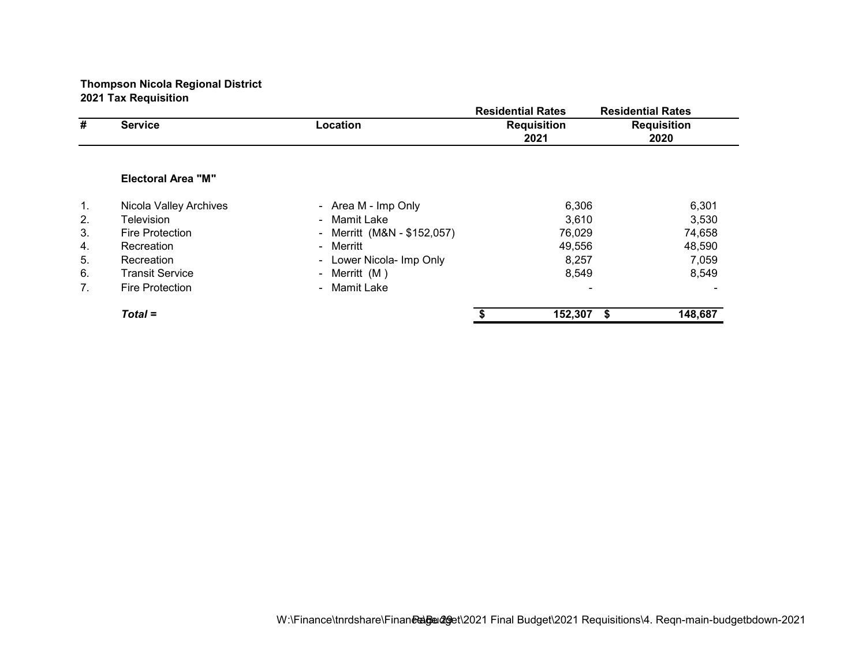|    |                           |                             | <b>Residential Rates</b>   | <b>Residential Rates</b>   |  |
|----|---------------------------|-----------------------------|----------------------------|----------------------------|--|
| #  | <b>Service</b>            | Location                    | <b>Requisition</b><br>2021 | <b>Requisition</b><br>2020 |  |
|    |                           |                             |                            |                            |  |
|    | <b>Electoral Area "M"</b> |                             |                            |                            |  |
| 1. | Nicola Valley Archives    | - Area M - Imp Only         | 6,306                      | 6,301                      |  |
| 2. | Television                | - Mamit Lake                | 3,610                      | 3,530                      |  |
| 3. | <b>Fire Protection</b>    | - Merritt (M&N - \$152,057) | 76,029                     | 74,658                     |  |
| 4. | Recreation                | - Merritt                   | 49,556                     | 48,590                     |  |
| 5. | Recreation                | Lower Nicola- Imp Only<br>۰ | 8,257                      | 7,059                      |  |
| 6. | <b>Transit Service</b>    | - Merritt $(M)$             | 8,549                      | 8,549                      |  |
| 7. | <b>Fire Protection</b>    | - Mamit Lake                |                            |                            |  |
|    | $Total =$                 |                             | 152,307                    | 148,687<br>- \$            |  |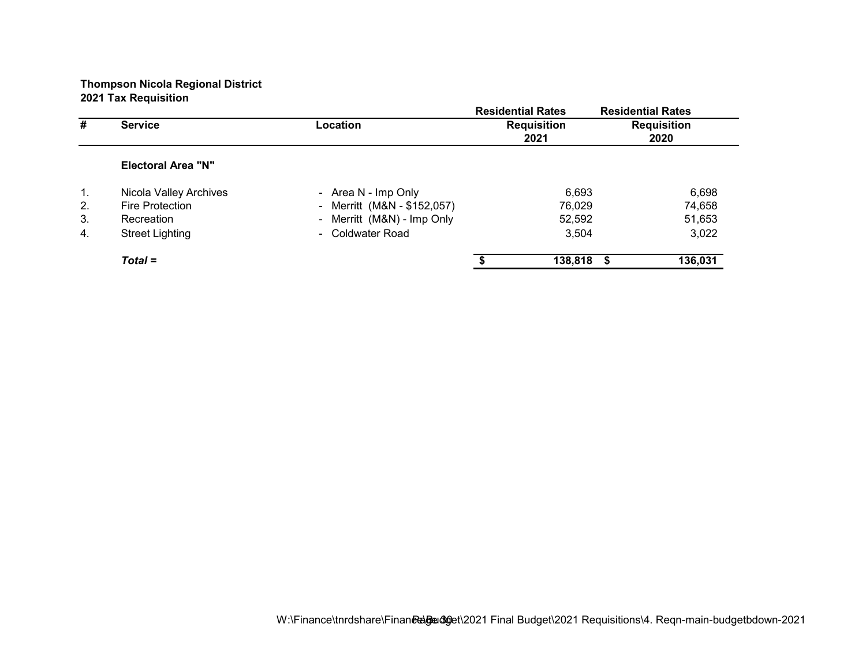|    |                           |                             | <b>Residential Rates</b>   | <b>Residential Rates</b>   |
|----|---------------------------|-----------------------------|----------------------------|----------------------------|
| #  | <b>Service</b>            | Location                    | <b>Requisition</b><br>2021 | <b>Requisition</b><br>2020 |
|    | <b>Electoral Area "N"</b> |                             |                            |                            |
| 1. | Nicola Valley Archives    | - Area N - Imp Only         | 6,693                      | 6,698                      |
| 2. | Fire Protection           | - Merritt (M&N - \$152,057) | 76,029                     | 74,658                     |
| 3. | Recreation                | - Merritt (M&N) - Imp Only  | 52,592                     | 51,653                     |
| 4. | <b>Street Lighting</b>    | - Coldwater Road            | 3,504                      | 3,022                      |
|    | $Total =$                 |                             | 138,818                    | 136,031<br>-S              |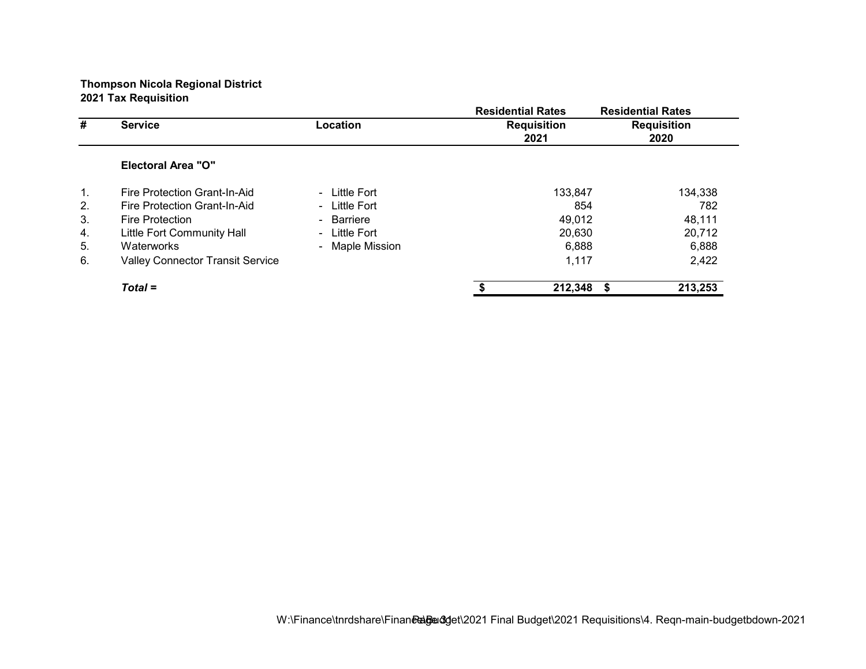|    |                                         |                 | <b>Residential Rates</b>   | <b>Residential Rates</b>   |
|----|-----------------------------------------|-----------------|----------------------------|----------------------------|
| #  | <b>Service</b>                          | Location        | <b>Requisition</b><br>2021 | <b>Requisition</b><br>2020 |
|    | <b>Electoral Area "O"</b>               |                 |                            |                            |
| 1. | Fire Protection Grant-In-Aid            | - Little Fort   | 133,847                    | 134,338                    |
| 2. | Fire Protection Grant-In-Aid            | - Little Fort   |                            | 854<br>782                 |
| 3. | Fire Protection                         | - Barriere      |                            | 48,111<br>49,012           |
| 4. | Little Fort Community Hall              | - Little Fort   |                            | 20,712<br>20,630           |
| 5. | Waterworks                              | - Maple Mission |                            | 6,888<br>6,888             |
| 6. | <b>Valley Connector Transit Service</b> |                 |                            | 2,422<br>1,117             |
|    | $Total =$                               |                 | 212,348                    | 213,253<br>- \$            |